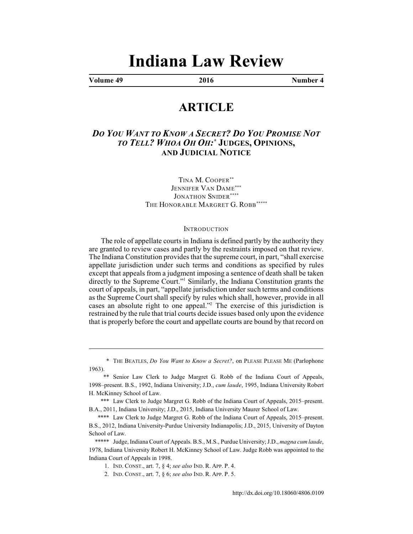# **Indiana Law Review**

**Volume 49 2016 Number 4**

# **ARTICLE**

# *DO YOU WANT TO KNOW A SECRET? DO YOU PROMISE NOT TO TELL? WHOA OH OH:* **JUDGES, OPINIONS,** *\** **AND JUDICIAL NOTICE**

TINA M. COOPER\*\* JENNIFER VAN DAME\*\*\* JONATHON SNIDER\*\*\*\* THE HONORABLE MARGRET G. ROBB\*\*\*\*\*

#### **INTRODUCTION**

The role of appellate courts in Indiana is defined partly by the authority they are granted to review cases and partly by the restraints imposed on that review. The Indiana Constitution provides that the supreme court, in part, "shall exercise appellate jurisdiction under such terms and conditions as specified by rules except that appeals from a judgment imposing a sentence of death shall be taken directly to the Supreme Court."<sup>1</sup> Similarly, the Indiana Constitution grants the court of appeals, in part, "appellate jurisdiction under such terms and conditions as the Supreme Court shall specify by rules which shall, however, provide in all cases an absolute right to one appeal."<sup>2</sup> The exercise of this jurisdiction is restrained by the rule that trial courts decide issues based only upon the evidence that is properly before the court and appellate courts are bound by that record on

<sup>\*</sup> THE BEATLES, *Do You Want to Know a Secret?*, on PLEASE PLEASE ME (Parlophone 1963).

<sup>\*\*</sup> Senior Law Clerk to Judge Margret G. Robb of the Indiana Court of Appeals, 1998–present. B.S., 1992, Indiana University; J.D., *cum laude*, 1995, Indiana University Robert H. McKinney School of Law.

<sup>\*\*\*</sup> Law Clerk to Judge Margret G. Robb of the Indiana Court of Appeals, 2015–present. B.A., 2011, Indiana University; J.D., 2015, Indiana University Maurer School of Law.

<sup>\*\*\*\*</sup> Law Clerk to Judge Margret G. Robb of the Indiana Court of Appeals, 2015–present. B.S., 2012, Indiana University-Purdue University Indianapolis; J.D., 2015, University of Dayton School of Law.

<sup>\*\*\*\*\*</sup> Judge, Indiana Court of Appeals. B.S., M.S., Purdue University; J.D., *magna cum laude*, 1978, Indiana University Robert H. McKinney School of Law. Judge Robb was appointed to the Indiana Court of Appeals in 1998.

<sup>1.</sup> IND. CONST., art. 7, § 4; *see also* IND. R. APP. P. 4.

<sup>2.</sup> IND. CONST., art. 7, § 6; *see also* IND. R. APP. P. 5.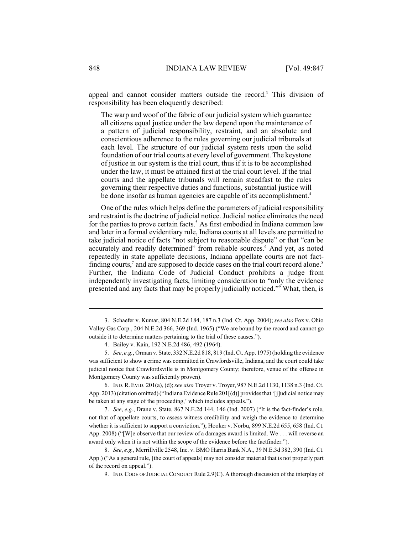appeal and cannot consider matters outside the record.<sup>3</sup> This division of responsibility has been eloquently described:

The warp and woof of the fabric of our judicial system which guarantee all citizens equal justice under the law depend upon the maintenance of a pattern of judicial responsibility, restraint, and an absolute and conscientious adherence to the rules governing our judicial tribunals at each level. The structure of our judicial system rests upon the solid foundation of our trial courts at every level of government. The keystone of justice in our system is the trial court, thus if it is to be accomplished under the law, it must be attained first at the trial court level. If the trial courts and the appellate tribunals will remain steadfast to the rules governing their respective duties and functions, substantial justice will be done insofar as human agencies are capable of its accomplishment.<sup>4</sup>

One of the rules which helps define the parameters of judicial responsibility and restraint isthe doctrine of judicial notice. Judicial notice eliminates the need for the parties to prove certain facts.<sup>5</sup> As first embodied in Indiana common law and later in a formal evidentiary rule, Indiana courts at all levels are permitted to take judicial notice of facts "not subject to reasonable dispute" or that "can be accurately and readily determined" from reliable sources.<sup>6</sup> And yet, as noted repeatedly in state appellate decisions, Indiana appellate courts are not factfinding courts,<sup>7</sup> and are supposed to decide cases on the trial court record alone.<sup>8</sup> Further, the Indiana Code of Judicial Conduct prohibits a judge from independently investigating facts, limiting consideration to "only the evidence presented and any facts that may be properly judicially noticed."<sup>9</sup> What, then, is

6. IND.R.EVID. 201(a), (d); *see also* Troyer v. Troyer, 987 N.E.2d 1130, 1138 n.3 (Ind. Ct. App. 2013) (citation omitted) ("Indiana Evidence Rule 201[(d)] provides that '[j]udicial notice may be taken at any stage of the proceeding,' which includes appeals.").

7. *See*, *e.g.*, Drane v. State, 867 N.E.2d 144, 146 (Ind. 2007) ("It is the fact-finder's role, not that of appellate courts, to assess witness credibility and weigh the evidence to determine whether it is sufficient to support a conviction."); Hooker v. Norbu, 899 N.E.2d 655, 658 (Ind. Ct. App. 2008) ("[W]e observe that our review of a damages award is limited. We . . . will reverse an award only when it is not within the scope of the evidence before the factfinder.").

8. *See*, *e.g.*, Merrillville 2548, Inc. v. BMO Harris Bank N.A., 39 N.E.3d 382, 390 (Ind. Ct. App.) ("As a general rule, [the court of appeals] may not consider material that is not properly part of the record on appeal.").

9. IND.CODE OF JUDICIALCONDUCT Rule 2.9(C). A thorough discussion of the interplay of

<sup>3.</sup> Schaefer v. Kumar, 804 N.E.2d 184, 187 n.3 (Ind. Ct. App. 2004); *see also* Fox v. Ohio Valley Gas Corp., 204 N.E.2d 366, 369 (Ind. 1965) ("We are bound by the record and cannot go outside it to determine matters pertaining to the trial of these causes.").

<sup>4.</sup> Bailey v. Kain, 192 N.E.2d 486, 492 (1964).

<sup>5.</sup> *See*, *e.g.*, Orman v. State, 332 N.E.2d 818, 819 (Ind. Ct. App. 1975) (holding the evidence was sufficient to show a crime was committed in Crawfordsville, Indiana, and the court could take judicial notice that Crawfordsville is in Montgomery County; therefore, venue of the offense in Montgomery County was sufficiently proven).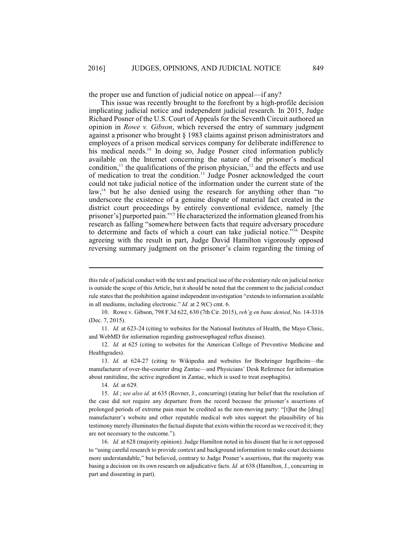the proper use and function of judicial notice on appeal—if any?

This issue was recently brought to the forefront by a high-profile decision implicating judicial notice and independent judicial research. In 2015, Judge Richard Posner of the U.S. Court of Appeals for the Seventh Circuit authored an opinion in *Rowe v. Gibson*, which reversed the entry of summary judgment against a prisoner who brought § 1983 claims against prison administrators and employees of a prison medical services company for deliberate indifference to his medical needs.<sup>10</sup> In doing so, Judge Posner cited information publicly available on the Internet concerning the nature of the prisoner's medical condition,<sup>11</sup> the qualifications of the prison physician,<sup>12</sup> and the effects and use of medication to treat the condition.<sup>13</sup> Judge Posner acknowledged the court could not take judicial notice of the information under the current state of the law, $^{14}$  but he also denied using the research for anything other than "to underscore the existence of a genuine dispute of material fact created in the district court proceedings by entirely conventional evidence, namely [the prisoner's] purported pain."<sup>15</sup> He characterized the information gleaned from his research as falling "somewhere between facts that require adversary procedure to determine and facts of which a court can take judicial notice."<sup>16</sup> Despite agreeing with the result in part, Judge David Hamilton vigorously opposed reversing summary judgment on the prisoner's claim regarding the timing of

10. Rowe v. Gibson, 798 F.3d 622, 630 (7th Cir. 2015), *reh'g en banc denied*, No. 14-3316 (Dec. 7, 2015).

11. *Id.* at 623-24 (citing to websites for the National Institutes of Health, the Mayo Clinic, and WebMD for information regarding gastroesophageal reflux disease).

12. *Id.* at 625 (citing to websites for the American College of Preventive Medicine and Healthgrades).

14. *Id.* at 629.

this rule of judicial conduct with the text and practical use of the evidentiary rule on judicial notice is outside the scope of this Article, but it should be noted that the comment to the judicial conduct rule states that the prohibition against independent investigation "extends to information available in all mediums, including electronic." *Id.* at 2.9(C) cmt. 6.

<sup>13.</sup> *Id.* at 624-27 (citing to Wikipedia and websites for Boehringer Ingelheim—the manufacturer of over-the-counter drug Zantac—and Physicians' Desk Reference for information about ranitidine, the active ingredient in Zantac, which is used to treat esophagitis).

<sup>15.</sup> *Id.*; *see also id.* at 635 (Rovner, J., concurring) (stating her belief that the resolution of the case did not require any departure from the record because the prisoner's assertions of prolonged periods of extreme pain must be credited as the non-moving party: "[t]hat the [drug] manufacturer's website and other reputable medical web sites support the plausibility of his testimony merely illuminates the factual dispute that exists within the record as we received it; they are not necessary to the outcome.").

<sup>16.</sup> *Id.* at 628 (majority opinion). Judge Hamilton noted in his dissent that he is not opposed to "using careful research to provide context and background information to make court decisions more understandable," but believed, contrary to Judge Posner's assertions, that the majority was basing a decision on its own research on adjudicative facts. *Id.* at 638 (Hamilton, J., concurring in part and dissenting in part).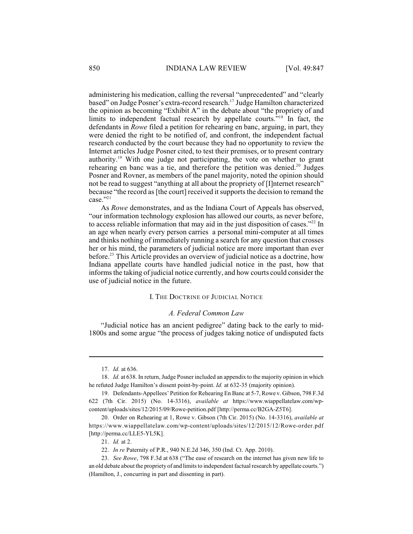administering his medication, calling the reversal "unprecedented" and "clearly based" on Judge Posner's extra-record research.<sup>17</sup> Judge Hamilton characterized the opinion as becoming "Exhibit A" in the debate about "the propriety of and limits to independent factual research by appellate courts. $18$  In fact, the defendants in *Rowe* filed a petition for rehearing en banc, arguing, in part, they were denied the right to be notified of, and confront, the independent factual research conducted by the court because they had no opportunity to review the Internet articles Judge Posner cited, to test their premises, or to present contrary authority.<sup>19</sup> With one judge not participating, the vote on whether to grant rehearing en banc was a tie, and therefore the petition was denied.<sup>20</sup> Judges Posner and Rovner, as members of the panel majority, noted the opinion should not be read to suggest "anything at all about the propriety of [I]nternet research" because "the record as [the court] received itsupports the decision to remand the case."21

As *Rowe* demonstrates, and as the Indiana Court of Appeals has observed, "our information technology explosion has allowed our courts, as never before, to access reliable information that may aid in the just disposition of cases." $22$  In an age when nearly every person carries a personal mini-computer at all times and thinks nothing of immediately running a search for any question that crosses her or his mind, the parameters of judicial notice are more important than ever before.<sup>23</sup> This Article provides an overview of judicial notice as a doctrine, how Indiana appellate courts have handled judicial notice in the past, how that informs the taking of judicial notice currently, and how courts could consider the use of judicial notice in the future.

#### I. THE DOCTRINE OF JUDICIAL NOTICE

#### *A. Federal Common Law*

"Judicial notice has an ancient pedigree" dating back to the early to mid-1800s and some argue "the process of judges taking notice of undisputed facts

<sup>17.</sup> *Id.* at 636.

<sup>18.</sup> *Id.* at 638. In return, Judge Posner included an appendix to the majority opinion in which he refuted Judge Hamilton's dissent point-by-point. *Id.* at 632-35 (majority opinion).

<sup>19.</sup> Defendants-Appellees' Petition for Rehearing En Banc at 5-7, Rowe v. Gibson, 798 F.3d 622 (7th Cir. 2015) (No. 14-3316), *available at* https://www.wiappellatelaw.com/wpcontent/uploads/sites/12/2015/09/Rowe-petition.pdf [http://perma.cc/B2GA-Z5T6].

<sup>20.</sup> Order on Rehearing at 1, Rowe v. Gibson (7th Cir. 2015) (No. 14-3316), *available at* https://www.wiappellatelaw.com/wp-content/uploads/sites/12/2015/12/Rowe-order.pdf [http://perma.cc/LLE5-YL5K].

<sup>21.</sup> *Id.* at 2.

<sup>22.</sup> *In re* Paternity of P.R., 940 N.E.2d 346, 350 (Ind. Ct. App. 2010).

<sup>23.</sup> *See Rowe*, 798 F.3d at 638 ("The ease of research on the internet has given new life to an old debate about the propriety of and limits to independent factual research by appellate courts.") (Hamilton, J., concurring in part and dissenting in part).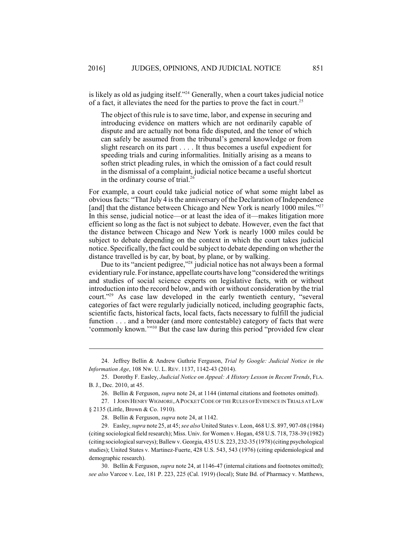is likely as old as judging itself."<sup>24</sup> Generally, when a court takes judicial notice of a fact, it alleviates the need for the parties to prove the fact in court.<sup>25</sup>

The object of this rule is to save time, labor, and expense in securing and introducing evidence on matters which are not ordinarily capable of dispute and are actually not bona fide disputed, and the tenor of which can safely be assumed from the tribunal's general knowledge or from slight research on its part . . . . It thus becomes a useful expedient for speeding trials and curing informalities. Initially arising as a means to soften strict pleading rules, in which the omission of a fact could result in the dismissal of a complaint, judicial notice became a useful shortcut in the ordinary course of trial.<sup>26</sup>

For example, a court could take judicial notice of what some might label as obvious facts: "That July 4 is the anniversary of the Declaration of Independence [and] that the distance between Chicago and New York is nearly 1000 miles."<sup>27</sup> In this sense, judicial notice—or at least the idea of it—makes litigation more efficient so long as the fact is not subject to debate. However, even the fact that the distance between Chicago and New York is nearly 1000 miles could be subject to debate depending on the context in which the court takes judicial notice. Specifically, the fact could be subject to debate depending on whether the distance travelled is by car, by boat, by plane, or by walking.

Due to its "ancient pedigree," $^{28}$  judicial notice has not always been a formal evidentiary rule.Forinstance, appellate courts have long "considered the writings and studies of social science experts on legislative facts, with or without introduction into the record below, and with or without consideration by the trial court."<sup>29</sup> As case law developed in the early twentieth century, "several categories of fact were regularly judicially noticed, including geographic facts, scientific facts, historical facts, local facts, facts necessary to fulfill the judicial function . . . and a broader (and more contestable) category of facts that were 'commonly known.'"<sup>30</sup> But the case law during this period "provided few clear

<sup>24.</sup> Jeffrey Bellin & Andrew Guthrie Ferguson, *Trial by Google: Judicial Notice in the Information Age*, 108 NW. U. L. REV. 1137, 1142-43 (2014).

<sup>25.</sup> Dorothy F. Easley, *Judicial Notice on Appeal: A History Lesson in Recent Trends*, FLA. B. J., Dec. 2010, at 45.

<sup>26.</sup> Bellin & Ferguson, *supra* note 24, at 1144 (internal citations and footnotes omitted).

<sup>27. 1</sup> JOHN HENRY WIGMORE, A POCKET CODE OF THE RULES OF EVIDENCE IN TRIALS AT LAW § 2135 (Little, Brown & Co. 1910).

<sup>28.</sup> Bellin & Ferguson, *supra* note 24, at 1142.

<sup>29.</sup> Easley, *supra* note 25, at 45; *see also* United States v. Leon, 468 U.S. 897, 907-08 (1984) (citing sociological field research); Miss. Univ. for Women v. Hogan, 458 U.S. 718, 738-39 (1982) (citing sociological surveys); Ballewv. Georgia, 435 U.S. 223, 232-35 (1978) (citing psychological studies); United States v. Martinez-Fuerte, 428 U.S. 543, 543 (1976) (citing epidemiological and demographic research).

<sup>30.</sup> Bellin & Ferguson, *supra* note 24, at 1146-47 (internal citations and footnotes omitted); *see also* Varcoe v. Lee, 181 P. 223, 225 (Cal. 1919) (local); State Bd. of Pharmacy v. Matthews,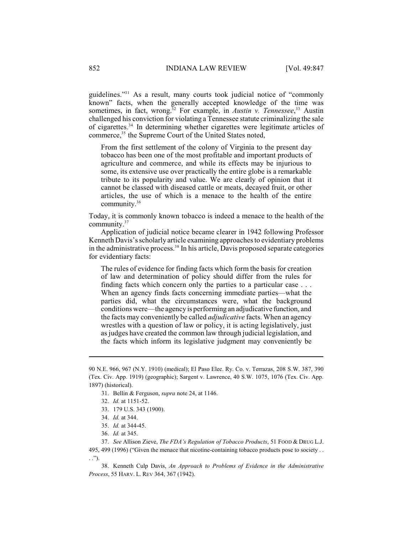guidelines."<sup>31</sup> As a result, many courts took judicial notice of "commonly known" facts, when the generally accepted knowledge of the time was sometimes, in fact, wrong.<sup>32</sup> For example, in *Austin v. Tennessee*,<sup>33</sup> Austin challenged his conviction for violating a Tennessee statute criminalizing the sale of cigarettes.<sup>34</sup> In determining whether cigarettes were legitimate articles of commerce,<sup>35</sup> the Supreme Court of the United States noted,

From the first settlement of the colony of Virginia to the present day tobacco has been one of the most profitable and important products of agriculture and commerce, and while its effects may be injurious to some, its extensive use over practically the entire globe is a remarkable tribute to its popularity and value. We are clearly of opinion that it cannot be classed with diseased cattle or meats, decayed fruit, or other articles, the use of which is a menace to the health of the entire community.<sup>36</sup>

Today, it is commonly known tobacco is indeed a menace to the health of the community.<sup>37</sup>

Application of judicial notice became clearer in 1942 following Professor Kenneth Davis's scholarly article examining approaches to evidentiary problems in the administrative process.<sup>38</sup> In his article, Davis proposed separate categories for evidentiary facts:

The rules of evidence for finding facts which form the basis for creation of law and determination of policy should differ from the rules for finding facts which concern only the parties to a particular case . . . When an agency finds facts concerning immediate parties—what the parties did, what the circumstances were, what the background conditions were—the agency is performing an adjudicative function, and the facts may conveniently be called *adjudicative* facts. When an agency wrestles with a question of law or policy, it is acting legislatively, just as judges have created the common law through judicial legislation, and the facts which inform its legislative judgment may conveniently be

<sup>90</sup> N.E. 966, 967 (N.Y. 1910) (medical); El Paso Elec. Ry. Co. v. Terrazas, 208 S.W. 387, 390 (Tex. Civ. App. 1919) (geographic); Sargent v. Lawrence, 40 S.W. 1075, 1076 (Tex. Civ. App. 1897) (historical).

<sup>31.</sup> Bellin & Ferguson, *supra* note 24, at 1146.

<sup>32.</sup> *Id.* at 1151-52.

<sup>33.</sup> 179 U.S. 343 (1900).

<sup>34.</sup> *Id.* at 344.

<sup>35.</sup> *Id.* at 344-45.

<sup>36.</sup> *Id.* at 345.

<sup>37.</sup> *See* Allison Zieve, *The FDA's Regulation of Tobacco Products*, 51 FOOD & DRUG L.J. 495, 499 (1996) ("Given the menace that nicotine-containing tobacco products pose to society . . . .").

<sup>38.</sup> Kenneth Culp Davis, *An Approach to Problems of Evidence in the Administrative Process*, 55 HARV. L. REV [364, 367 \(1942\).](http://dx.doi.org/10.2307/1335092)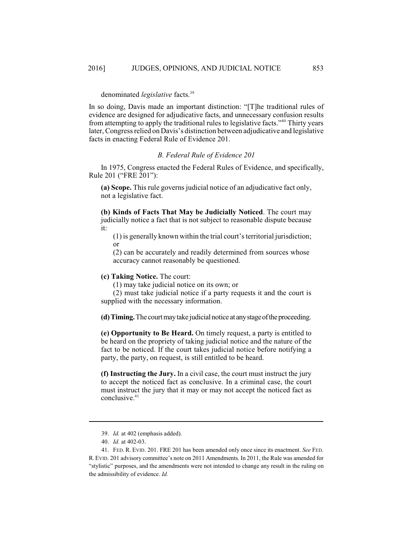### denominated *legislative* facts.<sup>39</sup>

In so doing, Davis made an important distinction: "[T]he traditional rules of evidence are designed for adjudicative facts, and unnecessary confusion results from attempting to apply the traditional rules to legislative facts."<sup>40</sup> Thirty years later, Congress relied on Davis's distinction between adjudicative and legislative facts in enacting Federal Rule of Evidence 201.

#### *B. Federal Rule of Evidence 201*

In 1975, Congress enacted the Federal Rules of Evidence, and specifically, Rule 201 ("FRE 201"):

**(a) Scope.** This rule governs judicial notice of an adjudicative fact only, not a legislative fact.

**(b) Kinds of Facts That May be Judicially Noticed**. The court may judicially notice a fact that is not subject to reasonable dispute because it:

(1) is generally known within the trial court'sterritorial jurisdiction; or

(2) can be accurately and readily determined from sources whose accuracy cannot reasonably be questioned.

#### **(c) Taking Notice.** The court:

(1) may take judicial notice on its own; or

(2) must take judicial notice if a party requests it and the court is supplied with the necessary information.

**(d)Timing.**The courtmaytake judicial notice at anystageoftheproceeding.

**(e) Opportunity to Be Heard.** On timely request, a party is entitled to be heard on the propriety of taking judicial notice and the nature of the fact to be noticed. If the court takes judicial notice before notifying a party, the party, on request, is still entitled to be heard.

**(f) Instructing the Jury.** In a civil case, the court must instruct the jury to accept the noticed fact as conclusive. In a criminal case, the court must instruct the jury that it may or may not accept the noticed fact as conclusive.<sup>41</sup>

<sup>39.</sup> *Id.* at 402 (emphasis added).

<sup>40.</sup> *Id.* at 402-03.

<sup>41.</sup> FED. R. EVID. 201. FRE 201 has been amended only once since its enactment. *See* FED. R.EVID. 201 advisory committee's note on 2011 Amendments. In 2011, the Rule was amended for "stylistic" purposes, and the amendments were not intended to change any result in the ruling on the admissibility of evidence. *Id.*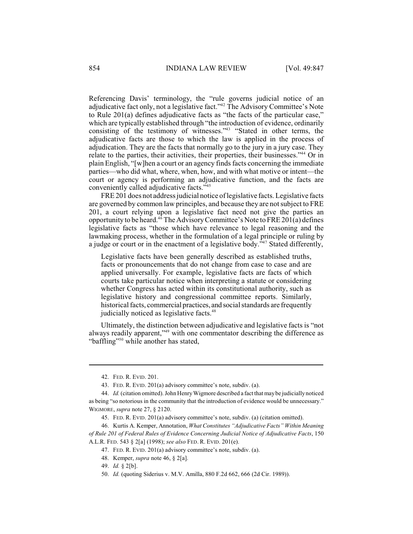Referencing Davis' terminology, the "rule governs judicial notice of an adjudicative fact only, not a legislative fact."<sup>42</sup> The Advisory Committee's Note to Rule 201(a) defines adjudicative facts as "the facts of the particular case," which are typically established through "the introduction of evidence, ordinarily consisting of the testimony of witnesses." $43$  "Stated in other terms, the adjudicative facts are those to which the law is applied in the process of adjudication. They are the facts that normally go to the jury in a jury case. They relate to the parties, their activities, their properties, their businesses."<sup>44</sup> Or in plain English, "[w]hen a court or an agency finds facts concerning the immediate parties—who did what, where, when, how, and with what motive or intent—the court or agency is performing an adjudicative function, and the facts are conveniently called adjudicative facts."<sup>45</sup>

FRE 201 does not address judicial notice of legislative facts. Legislative facts are governed by common law principles, and because they are notsubject to FRE 201, a court relying upon a legislative fact need not give the parties an opportunity to be heard.<sup>46</sup> The Advisory Committee's Note to FRE 201(a) defines legislative facts as "those which have relevance to legal reasoning and the lawmaking process, whether in the formulation of a legal principle or ruling by a judge or court or in the enactment of a legislative body."<sup>47</sup> Stated differently,

Legislative facts have been generally described as established truths, facts or pronouncements that do not change from case to case and are applied universally. For example, legislative facts are facts of which courts take particular notice when interpreting a statute or considering whether Congress has acted within its constitutional authority, such as legislative history and congressional committee reports. Similarly, historical facts, commercial practices, and social standards are frequently judicially noticed as legislative facts.<sup>48</sup>

Ultimately, the distinction between adjudicative and legislative facts is "not always readily apparent,"<sup>49</sup> with one commentator describing the difference as "baffling"<sup>50</sup> while another has stated,

<sup>42.</sup> FED. R. EVID. 201.

<sup>43.</sup> FED. R. EVID. 201(a) advisory committee's note, subdiv. (a).

<sup>44.</sup> *Id.* (citation omitted).John HenryWigmore described a fact that maybe judicially noticed as being "so notorious in the community that the introduction of evidence would be unnecessary." WIGMORE, *supra* note 27, § 2120.

<sup>45.</sup> FED. R. EVID. 201(a) advisory committee's note, subdiv. (a) (citation omitted).

<sup>46.</sup> Kurtis A. Kemper, Annotation, *What Constitutes "Adjudicative Facts" Within Meaning of Rule 201 of Federal Rules of Evidence Concerning Judicial Notice of Adjudicative Facts*, 150 A.L.R. FED. 543 § 2[a] (1998); *see also* FED. R. EVID. 201(e).

<sup>47.</sup> FED. R. EVID. 201(a) advisory committee's note, subdiv. (a).

<sup>48.</sup> Kemper, *supra* note 46, § 2[a].

<sup>49.</sup> *Id.* § 2[b].

<sup>50.</sup> *Id.* (quoting Siderius v. M.V. Amilla, 880 F.2d 662, 666 (2d Cir. 1989)).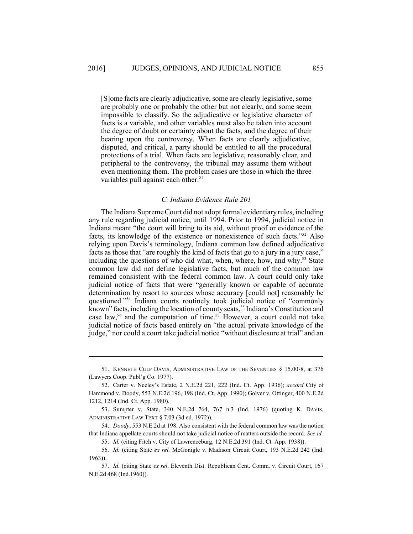[S]ome facts are clearly adjudicative, some are clearly legislative, some are probably one or probably the other but not clearly, and some seem impossible to classify. So the adjudicative or legislative character of facts is a variable, and other variables must also be taken into account the degree of doubt or certainty about the facts, and the degree of their bearing upon the controversy. When facts are clearly adjudicative, disputed, and critical, a party should be entitled to all the procedural protections of a trial. When facts are legislative, reasonably clear, and peripheral to the controversy, the tribunal may assume them without even mentioning them. The problem cases are those in which the three variables pull against each other.<sup>51</sup>

#### *C. Indiana Evidence Rule 201*

The Indiana Supreme Court did not adopt formal evidentiary rules, including any rule regarding judicial notice, until 1994. Prior to 1994, judicial notice in Indiana meant "the court will bring to its aid, without proof or evidence of the facts, its knowledge of the existence or nonexistence of such facts."<sup>52</sup> Also relying upon Davis's terminology, Indiana common law defined adjudicative facts as those that "are roughly the kind of facts that go to a jury in a jury case," including the questions of who did what, when, where, how, and why.<sup>53</sup> State common law did not define legislative facts, but much of the common law remained consistent with the federal common law. A court could only take judicial notice of facts that were "generally known or capable of accurate determination by resort to sources whose accuracy [could not] reasonably be questioned."<sup>54</sup> Indiana courts routinely took judicial notice of "commonly known" facts, including the location of county seats,  $55$  Indiana's Constitution and case law,<sup>56</sup> and the computation of time.<sup>57</sup> However, a court could not take judicial notice of facts based entirely on "the actual private knowledge of the judge," nor could a court take judicial notice "without disclosure at trial" and an

<sup>51.</sup> KENNETH CULP DAVIS, ADMINISTRATIVE LAW OF THE SEVENTIES § 15.00-8, at 376 (Lawyers Coop. Publ'g Co. 1977).

<sup>52.</sup> Carter v. Neeley's Estate, 2 N.E.2d 221, 222 (Ind. Ct. App. 1936); *accord* City of Hammond v. Doody, 553 N.E.2d 196, 198 (Ind. Ct. App. 1990); Golver v. Ottinger, 400 N.E.2d 1212, 1214 (Ind. Ct. App. 1980).

<sup>53.</sup> Sumpter v. State, 340 N.E.2d 764, 767 n.3 (Ind. 1976) (quoting K. DAVIS, ADMINISTRATIVE LAW TEXT § 7.03 (3d ed. 1972)).

<sup>54.</sup> *Doody*, 553 N.E.2d at 198. Also consistent with the federal common law was the notion that Indiana appellate courts should not take judicial notice of matters outside the record. *See id.*

<sup>55.</sup> *Id.* (citing Fitch v. City of Lawrenceburg, 12 N.E.2d 391 (Ind. Ct. App. 1938)).

<sup>56.</sup> *Id.* (citing State *ex rel.* McGonigle v. Madison Circuit Court, 193 N.E.2d 242 (Ind. 1963)).

<sup>57.</sup> *Id.* (citing State *ex rel*. Eleventh Dist. Republican Cent. Comm. v. Circuit Court, 167 N.E.2d 468 (Ind.1960)).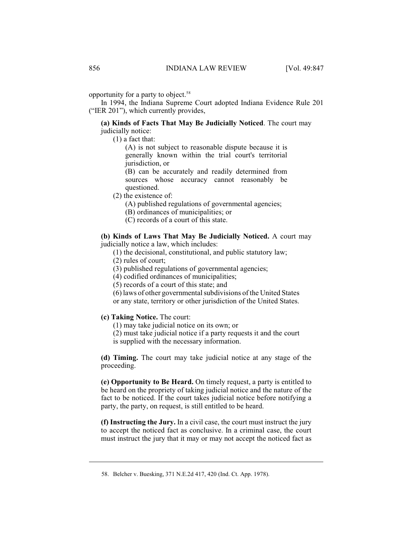opportunity for a party to object. 58

In 1994, the Indiana Supreme Court adopted Indiana Evidence Rule 201 ("IER 201"), which currently provides,

#### **(a) Kinds of Facts That May Be Judicially Noticed**. The court may judicially notice:

(1) a fact that:

(A) is not subject to reasonable dispute because it is generally known within the trial court's territorial jurisdiction, or

(B) can be accurately and readily determined from sources whose accuracy cannot reasonably be questioned.

(2) the existence of:

(A) published regulations of governmental agencies;

(B) ordinances of municipalities; or

(C) records of a court of this state.

**(b) Kinds of Laws That May Be Judicially Noticed.** A court may judicially notice a law, which includes:

(1) the decisional, constitutional, and public statutory law;

(2) rules of court;

(3) published regulations of governmental agencies;

(4) codified ordinances of municipalities;

(5) records of a court of this state; and

 $(6)$  laws of other governmental subdivisions of the United States or any state, territory or other jurisdiction of the United States.

**(c) Taking Notice.** The court:

(1) may take judicial notice on its own; or

(2) must take judicial notice if a party requests it and the court is supplied with the necessary information.

**(d) Timing.** The court may take judicial notice at any stage of the proceeding.

**(e) Opportunity to Be Heard.** On timely request, a party is entitled to be heard on the propriety of taking judicial notice and the nature of the fact to be noticed. If the court takes judicial notice before notifying a party, the party, on request, is still entitled to be heard.

**(f) Instructing the Jury.** In a civil case, the court must instruct the jury to accept the noticed fact as conclusive. In a criminal case, the court must instruct the jury that it may or may not accept the noticed fact as

<sup>58.</sup> Belcher v. Buesking, 371 N.E.2d 417, 420 (Ind. Ct. App. 1978).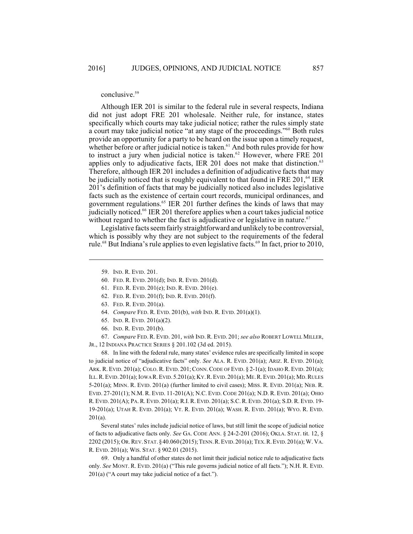#### conclusive.<sup>59</sup>

Although IER 201 is similar to the federal rule in several respects, Indiana did not just adopt FRE 201 wholesale. Neither rule, for instance, states specifically which courts may take judicial notice; rather the rules simply state a court may take judicial notice "at any stage of the proceedings."<sup>60</sup> Both rules provide an opportunity for a party to be heard on the issue upon a timely request, whether before or after judicial notice is taken. $61$  And both rules provide for how to instruct a jury when judicial notice is taken. $62$  However, where FRE 201 applies only to adjudicative facts, IER 201 does not make that distinction.<sup>63</sup> Therefore, although IER 201 includes a definition of adjudicative facts that may be judicially noticed that is roughly equivalent to that found in FRE 201,  $^{64}$  IER 201's definition of facts that may be judicially noticed also includes legislative facts such as the existence of certain court records, municipal ordinances, and government regulations.<sup>65</sup> IER 201 further defines the kinds of laws that may judicially noticed.<sup>66</sup> IER 201 therefore applies when a court takes judicial notice without regard to whether the fact is adjudicative or legislative in nature.<sup>67</sup>

Legislative facts seem fairly straightforward and unlikely to be controversial, which is possibly why they are not subject to the requirements of the federal rule.<sup>68</sup> But Indiana's rule applies to even legislative facts.<sup>69</sup> In fact, prior to 2010,

- 60. FED. R. EVID. 201(d); IND. R. EVID. 201(d).
- 61. FED. R. EVID. 201(e); IND. R. EVID. 201(e).
- 62. FED. R. EVID. 201(f); IND. R. EVID. 201(f).
- 63. FED. R. EVID. 201(a).
- 64. *Compare* FED. R. EVID. 201(b), *with* IND. R. EVID. 201(a)(1).
- 65. IND. R. EVID. 201(a)(2).
- 66. IND. R. EVID. 201(b).

67. *Compare* FED. R. EVID. 201, *with* IND. R. EVID. 201; *see also* ROBERT LOWELLMILLER, JR., 12 INDIANA PRACTICE SERIES § 201.102 (3d ed. 2015).

68. In line with the federal rule, many states' evidence rules are specifically limited in scope to judicial notice of "adjudicative facts" only. *See* ALA. R. EVID. 201(a); ARIZ. R. EVID. 201(a); ARK. R. EVID. 201(a); COLO. R. EVID. 201; CONN.CODE OFEVID. § 2-1(a); IDAHO R. EVID. 201(a); ILL.R.EVID. 201(a); IOWA R.EVID.5.201(a); KY.R.EVID.201(a); ME.R.EVID. 201(a); MD.RULES 5-201(a); MINN. R. EVID. 201(a) (further limited to civil cases); MISS. R. EVID. 201(a); NEB. R. EVID. 27-201(1); N.M. R. EVID. 11-201(A); N.C. EVID. CODE 201(a); N.D. R. EVID. 201(a); OHIO R. EVID. 201(A); PA.R. EVID. 201(a); R.I.R. EVID. 201(a); S.C. R. EVID. 201(a); S.D. R. EVID. 19- 19-201(a); UTAH R. EVID. 201(a); VT. R. EVID. 201(a); WASH. R. EVID. 201(a); WYO. R. EVID. 201(a).

Several states' rules include judicial notice of laws, but still limit the scope of judicial notice of facts to adjudicative facts only. *See* GA. CODE ANN. § 24-2-201 (2016); OKLA. STAT. tit. 12, § 2202 (2015); OR.REV.STAT.§40.060(2015);TENN.R.EVID.201(a); TEX.R.EVID.201(a); W. VA. R. EVID. 201(a); WIS. STAT. § 902.01 (2015).

69. Only a handful of other states do not limit their judicial notice rule to adjudicative facts only. *See* MONT. R. EVID. 201(a) ("This rule governs judicial notice of all facts."); N.H. R. EVID. 201(a) ("A court may take judicial notice of a fact.").

<sup>59.</sup> IND. R. EVID. 201.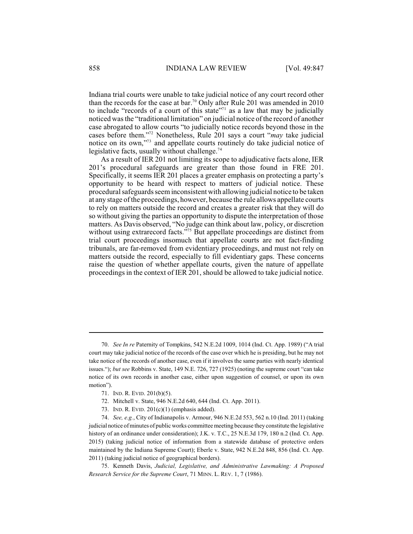Indiana trial courts were unable to take judicial notice of any court record other than the records for the case at bar.<sup>70</sup> Only after Rule 201 was amended in 2010 to include "records of a court of this state"<sup> $71$ </sup> as a law that may be judicially noticed was the "traditional limitation" on judicial notice of the record of another case abrogated to allow courts "to judicially notice records beyond those in the cases before them."<sup>72</sup> Nonetheless, Rule 201 says a court "*may* take judicial notice on its own," $73$  and appellate courts routinely do take judicial notice of legislative facts, usually without challenge.<sup>74</sup>

As a result of IER 201 not limiting its scope to adjudicative facts alone, IER 201's procedural safeguards are greater than those found in FRE 201. Specifically, it seems IER 201 places a greater emphasis on protecting a party's opportunity to be heard with respect to matters of judicial notice. These procedural safeguards seeminconsistent with allowing judicial notice to be taken at any stage of the proceedings, however, because the rule allows appellate courts to rely on matters outside the record and creates a greater risk that they will do so without giving the parties an opportunity to dispute the interpretation of those matters. As Davis observed, "No judge can think about law, policy, or discretion without using extrarecord facts."<sup>75</sup> But appellate proceedings are distinct from trial court proceedings insomuch that appellate courts are not fact-finding tribunals, are far-removed from evidentiary proceedings, and must not rely on matters outside the record, especially to fill evidentiary gaps. These concerns raise the question of whether appellate courts, given the nature of appellate proceedings in the context of IER 201, should be allowed to take judicial notice.

- 71. IND. R. EVID. 201(b)(5).
- 72. Mitchell v. State, 946 N.E.2d 640, 644 (Ind. Ct. App. 2011).
- 73. IND. R. EVID. 201(c)(1) (emphasis added).

74. *See, e.g.*, City of Indianapolis v. Armour, 946 N.E.2d 553, 562 n.10 (Ind. 2011) (taking judicial notice of minutes of public works committee meeting because they constitute the legislative history of an ordinance under consideration); J.K. v. T.C., 25 N.E.3d 179, 180 n.2 (Ind. Ct. App. 2015) (taking judicial notice of information from a statewide database of protective orders maintained by the Indiana Supreme Court); Eberle v. State, 942 N.E.2d 848, 856 (Ind. Ct. App. 2011) (taking judicial notice of geographical borders).

75. Kenneth Davis, *Judicial, Legislative, and Administrative Lawmaking: A Proposed Research Service for the Supreme Court*, 71 MINN. L. REV. 1, 7 (1986).

<sup>70.</sup> *See In re* Paternity of Tompkins, 542 N.E.2d 1009, 1014 (Ind. Ct. App. 1989) ("A trial court may take judicial notice of the records of the case over which he is presiding, but he may not take notice of the records of another case, even if it involves the same parties with nearly identical issues."); *but see* Robbins v. State, 149 N.E. 726, 727 (1925) (noting the supreme court "can take notice of its own records in another case, either upon suggestion of counsel, or upon its own motion").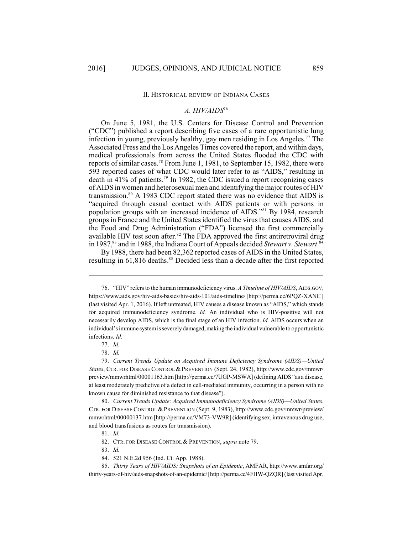#### II. HISTORICAL REVIEW OF INDIANA CASES

## *A. HIV/AIDS*<sup>76</sup>

On June 5, 1981, the U.S. Centers for Disease Control and Prevention ("CDC") published a report describing five cases of a rare opportunistic lung infection in young, previously healthy, gay men residing in Los Angeles.<sup>77</sup> The Associated Press and the Los Angeles Times covered the report, and within days, medical professionals from across the United States flooded the CDC with reports of similar cases.<sup>78</sup> From June 1, 1981, to September 15, 1982, there were 593 reported cases of what CDC would later refer to as "AIDS," resulting in death in  $41\%$  of patients.<sup>79</sup> In 1982, the CDC issued a report recognizing cases of AIDS in women and heterosexual men and identifying the major routes of HIV transmission. $80$  A 1983 CDC report stated there was no evidence that AIDS is "acquired through casual contact with AIDS patients or with persons in population groups with an increased incidence of AIDS."<sup>81</sup> By 1984, research groupsin France and the United States identified the virus that causes AIDS, and the Food and Drug Administration ("FDA") licensed the first commercially available HIV test soon after. ${}^{82}$  The FDA approved the first antiretroviral drug in 1987,<sup>83</sup> and in 1988, the Indiana Court of Appeals decided *Stewart v. Stewart*.<sup>84</sup>

By 1988, there had been 82,362 reported cases of AIDS in the United States, resulting in  $61,816$  deaths.<sup>85</sup> Decided less than a decade after the first reported

<sup>76.</sup> "HIV" refers to the human immunodeficiency virus. *A Timeline of HIV/AIDS*, AIDS.GOV, https://www.aids.gov/hiv-aids-basics/hiv-aids-101/aids-timeline/ [http://perma.cc/6PQZ-XANC ] (last visited Apr. 1, 2016). If left untreated, HIV causes a disease known as "AIDS," which stands for acquired immunodeficiency syndrome. *Id.* An individual who is HIV-positive will not necessarily develop AIDS, which is the final stage of an HIV infection. *Id.* AIDS occurs when an individual's immune system is severely damaged, making the individual vulnerable to opportunistic infections. *Id.*

<sup>77.</sup> *Id.*

<sup>78.</sup> *Id.*

<sup>79.</sup> *Current Trends Update on Acquired Immune Deficiency Syndrome (AIDS)—United States*, CTR. FOR DISEASE CONTROL & PREVENTION (Sept. 24, 1982), http://www.cdc.gov/mmwr/ preview/mmwrhtml/00001163.htm[http://perma.cc/7UGP-MSWA] (defining AIDS "as a disease, at least moderately predictive of a defect in cell-mediated immunity, occurring in a person with no known cause for diminished resistance to that disease").

<sup>80.</sup> *Current Trends Update: Acquired Immunodeficiency Syndrome (AIDS)—United States*, CTR. FOR DISEASE CONTROL& PREVENTION (Sept. 9, 1983), http://www.cdc.gov/mmwr/preview/ mmwrhtml/00000137.htm [http://perma.cc/VM73-VW9R] (identifying sex, intravenous drug use, and blood transfusions as routes for transmission).

<sup>81.</sup> *Id.*

<sup>82.</sup> CTR. FOR DISEASE CONTROL & PREVENTION, *supra* note 79.

<sup>83.</sup> *Id.*

<sup>84.</sup> 521 N.E.2d 956 (Ind. Ct. App. 1988).

<sup>85.</sup> *Thirty Years of HIV/AIDS: Snapshots of an Epidemic*, AMFAR, http://www.amfar.org/ thirty-years-of-hiv/aids-snapshots-of-an-epidemic/[http://perma.cc/4FHW-QZQR](last visited Apr.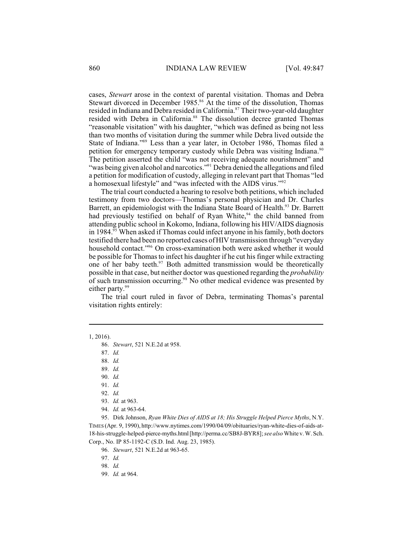cases, *Stewart* arose in the context of parental visitation. Thomas and Debra Stewart divorced in December 1985.<sup>86</sup> At the time of the dissolution, Thomas resided in Indiana and Debra resided in California.<sup>87</sup> Their two-year-old daughter resided with Debra in California.<sup>88</sup> The dissolution decree granted Thomas "reasonable visitation" with his daughter, "which was defined as being not less than two months of visitation during the summer while Debra lived outside the State of Indiana."<sup>89</sup> Less than a year later, in October 1986, Thomas filed a petition for emergency temporary custody while Debra was visiting Indiana.<sup>90</sup> The petition asserted the child "was not receiving adequate nourishment" and "was being given alcohol and narcotics."<sup>91</sup> Debra denied the allegations and filed a petition for modification of custody, alleging in relevant part that Thomas "led a homosexual lifestyle" and "was infected with the AIDS virus."<sup>92</sup>

The trial court conducted a hearing to resolve both petitions, which included testimony from two doctors—Thomas's personal physician and Dr. Charles Barrett, an epidemiologist with the Indiana State Board of Health.<sup>93</sup> Dr. Barrett had previously testified on behalf of Ryan White, $94$  the child banned from attending public school in Kokomo, Indiana, following his HIV/AIDS diagnosis in 1984.<sup>95</sup> When asked if Thomas could infect anyone in his family, both doctors testified there had been no reported cases of HIV transmission through "everyday household contact."<sup>96</sup> On cross-examination both were asked whether it would be possible for Thomas to infect his daughter if he cut his finger while extracting one of her baby teeth. $97$  Both admitted transmission would be theoretically possible in that case, but neither doctor was questioned regarding the *probability* of such transmission occurring.<sup>98</sup> No other medical evidence was presented by either party.<sup>99</sup>

The trial court ruled in favor of Debra, terminating Thomas's parental visitation rights entirely:

1, 2016).

87. *Id.* 

88. *Id.*

89. *Id.*

90. *Id.*

92. *Id.*

93. *Id.* at 963.

94. *Id.* at 963-64.

95. Dirk Johnson, *Ryan White Dies of AIDS at 18; His Struggle Helped Pierce Myths*, N.Y. TIMES (Apr. 9, 1990), http://www.nytimes.com/1990/04/09/obituaries/ryan-white-dies-of-aids-at-18-his-struggle-helped-pierce-myths.html[http://perma.cc/SB8J-BYR8]; *see also* White v. W. Sch. Corp., No. IP 85-1192-C (S.D. Ind. Aug. 23, 1985).

96. *Stewart*, 521 N.E.2d at 963-65.

97. *Id.*

98. *Id.*

99. *Id.* at 964.

<sup>86.</sup> *Stewart*, 521 N.E.2d at 958.

<sup>91.</sup> *Id.*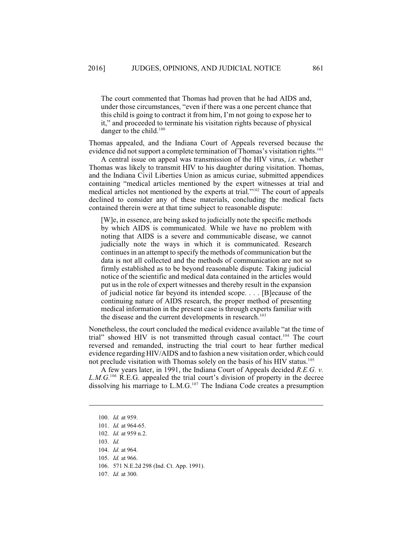The court commented that Thomas had proven that he had AIDS and, under those circumstances, "even if there was a one percent chance that this child is going to contract it from him, I'm not going to expose her to it," and proceeded to terminate his visitation rights because of physical danger to the child.<sup>100</sup>

Thomas appealed, and the Indiana Court of Appeals reversed because the evidence did not support a complete termination of Thomas's visitation rights.<sup>101</sup>

A central issue on appeal was transmission of the HIV virus, *i.e.* whether Thomas was likely to transmit HIV to his daughter during visitation. Thomas, and the Indiana Civil Liberties Union as amicus curiae, submitted appendices containing "medical articles mentioned by the expert witnesses at trial and medical articles not mentioned by the experts at trial."<sup>102</sup> The court of appeals declined to consider any of these materials, concluding the medical facts contained therein were at that time subject to reasonable dispute:

[W]e, in essence, are being asked to judicially note the specific methods by which AIDS is communicated. While we have no problem with noting that AIDS is a severe and communicable disease, we cannot judicially note the ways in which it is communicated. Research continues in an attempt to specify the methods of communication but the data is not all collected and the methods of communication are not so firmly established as to be beyond reasonable dispute. Taking judicial notice of the scientific and medical data contained in the articles would put us in the role of expert witnesses and thereby result in the expansion of judicial notice far beyond its intended scope. . . . [B]ecause of the continuing nature of AIDS research, the proper method of presenting medical information in the present case is through experts familiar with the disease and the current developments in research.<sup>103</sup>

Nonetheless, the court concluded the medical evidence available "at the time of trial" showed HIV is not transmitted through casual contact.<sup>104</sup> The court reversed and remanded, instructing the trial court to hear further medical evidence regarding HIV/AIDS and to fashion a new visitation order, which could not preclude visitation with Thomas solely on the basis of his HIV status.<sup>105</sup>

A few years later, in 1991, the Indiana Court of Appeals decided *R.E.G. v.*  $L.M.G.<sup>106</sup>$  R.E.G. appealed the trial court's division of property in the decree dissolving his marriage to  $L.M.G.<sup>107</sup>$  The Indiana Code creates a presumption

<sup>100.</sup> *Id.* at 959.

<sup>101.</sup> *Id.* at 964-65.

<sup>102.</sup> *Id.* at 959 n.2.

<sup>103.</sup> *Id.*

<sup>104.</sup> *Id.* at 964.

<sup>105.</sup> *Id.* at 966.

<sup>106.</sup> 571 N.E.2d 298 (Ind. Ct. App. 1991).

<sup>107.</sup> *Id.* at 300.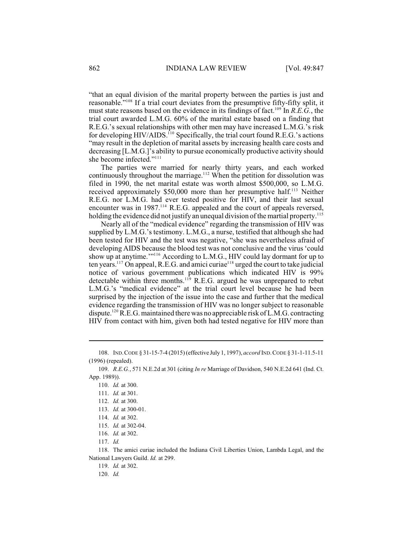"that an equal division of the marital property between the parties is just and reasonable."<sup>108</sup> If a trial court deviates from the presumptive fifty-fifty split, it must state reasons based on the evidence in its findings of fact.<sup>109</sup> In *R.E.G.*, the trial court awarded L.M.G. 60% of the marital estate based on a finding that R.E.G.'s sexual relationships with other men may have increased L.M.G.'s risk for developing HIV/AIDS.<sup>110</sup> Specifically, the trial court found R.E.G.'s actions "may result in the depletion of marital assets by increasing health care costs and decreasing [L.M.G.]'s ability to pursue economically productive activity should she become infected."<sup>111</sup>

The parties were married for nearly thirty years, and each worked continuously throughout the marriage.<sup>112</sup> When the petition for dissolution was filed in 1990, the net marital estate was worth almost \$500,000, so L.M.G. received approximately \$50,000 more than her presumptive half.<sup>113</sup> Neither R.E.G. nor L.M.G. had ever tested positive for HIV, and their last sexual encounter was in 1987.<sup>114</sup> R.E.G. appealed and the court of appeals reversed, holding the evidence did not justify an unequal division of the martial property.<sup>115</sup>

Nearly all of the "medical evidence" regarding the transmission of HIV was supplied by L.M.G.'s testimony. L.M.G., a nurse, testified that although she had been tested for HIV and the test was negative, "she was nevertheless afraid of developing AIDS because the blood test was not conclusive and the virus 'could show up at anytime."<sup>116</sup> According to L.M.G., HIV could lay dormant for up to ten years.<sup>117</sup> On appeal, R.E.G. and amici curiae<sup>118</sup> urged the court to take judicial notice of various government publications which indicated HIV is 99% detectable within three months. $119$  R.E.G. argued he was unprepared to rebut L.M.G.'s "medical evidence" at the trial court level because he had been surprised by the injection of the issue into the case and further that the medical evidence regarding the transmission of HIV was no longer subject to reasonable dispute.<sup>120</sup> R.E.G. maintained there was no appreciable risk of L.M.G. contracting HIV from contact with him, given both had tested negative for HIV more than

<sup>108.</sup> IND.CODE § 31-15-7-4 (2015) (effective July 1, 1997), *accord* IND.CODE § 31-1-11.5-11 (1996) (repealed).

<sup>109.</sup> *R.E.G.*, 571 N.E.2d at 301 (citing *In re* Marriage of Davidson, 540 N.E.2d 641 (Ind. Ct. App. 1989)).

<sup>110.</sup> *Id.* at 300.

<sup>111.</sup> *Id.* at 301.

<sup>112.</sup> *Id.* at 300.

<sup>113.</sup> *Id.* at 300-01.

<sup>114.</sup> *Id.* at 302.

<sup>115.</sup> *Id.* at 302-04.

<sup>116.</sup> *Id.* at 302.

<sup>117.</sup> *Id.*

<sup>118.</sup> The amici curiae included the Indiana Civil Liberties Union, Lambda Legal, and the National Lawyers Guild. *Id.* at 299.

<sup>119.</sup> *Id.* at 302.

<sup>120.</sup> *Id.*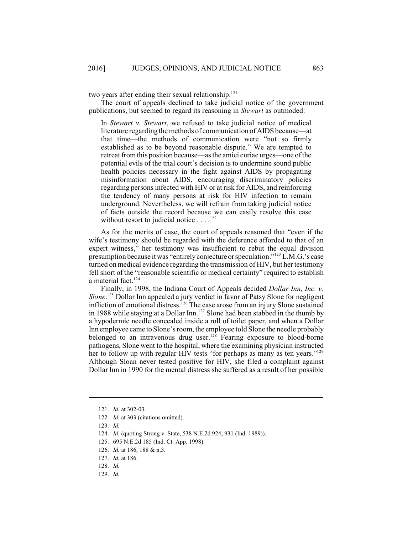two years after ending their sexual relationship.<sup>121</sup>

The court of appeals declined to take judicial notice of the government publications, but seemed to regard its reasoning in *Stewart* as outmoded:

In *Stewart v. Stewart*, we refused to take judicial notice of medical literature regarding the methods of communication of AIDS because—at that time—the methods of communication were "not so firmly established as to be beyond reasonable dispute." We are tempted to retreat fromthis position because—as the amici curiae urges—one of the potential evils of the trial court's decision is to undermine sound public health policies necessary in the fight against AIDS by propagating misinformation about AIDS, encouraging discriminatory policies regarding persons infected with HIV or at risk for AIDS, and reinforcing the tendency of many persons at risk for HIV infection to remain underground. Nevertheless, we will refrain from taking judicial notice of facts outside the record because we can easily resolve this case without resort to judicial notice  $\dots$ .  $^{122}$ 

As for the merits of case, the court of appeals reasoned that "even if the wife's testimony should be regarded with the deference afforded to that of an expert witness," her testimony was insufficient to rebut the equal division presumption because it was "entirely conjecture or speculation."<sup>123</sup> L.M.G.'s case turned on medical evidence regarding the transmission of HIV, but her testimony fell short of the "reasonable scientific or medical certainty" required to establish a material fact. 124

Finally, in 1998, the Indiana Court of Appeals decided *Dollar Inn, Inc. v. Slone*.<sup>125</sup> Dollar Inn appealed a jury verdict in favor of Patsy Slone for negligent infliction of emotional distress.<sup>126</sup> The case arose from an injury Slone sustained in 1988 while staying at a Dollar Inn.<sup>127</sup> Slone had been stabbed in the thumb by a hypodermic needle concealed inside a roll of toilet paper, and when a Dollar Inn employee came to Slone's room, the employee told Slone the needle probably belonged to an intravenous drug user.<sup>128</sup> Fearing exposure to blood-borne pathogens, Slone went to the hospital, where the examining physician instructed her to follow up with regular HIV tests "for perhaps as many as ten years."<sup>129</sup> Although Sloan never tested positive for HIV, she filed a complaint against Dollar Inn in 1990 for the mental distress she suffered as a result of her possible

129. *Id.*

<sup>121.</sup> *Id.* at 302-03.

<sup>122.</sup> *Id.* at 303 (citations omitted).

<sup>123.</sup> *Id.*

<sup>124.</sup> *Id.* (quoting Strong v. State, 538 N.E.2d 924, 931 (Ind. 1989)).

<sup>125.</sup> 695 N.E.2d 185 (Ind. Ct. App. 1998).

<sup>126.</sup> *Id.* at 186, 188 & n.3.

<sup>127.</sup> *Id.* at 186.

<sup>128.</sup> *Id.*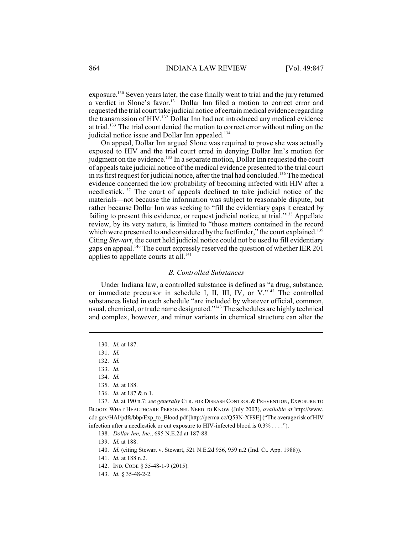exposure.<sup>130</sup> Seven years later, the case finally went to trial and the jury returned a verdict in Slone's favor.<sup>131</sup> Dollar Inn filed a motion to correct error and requested the trial court take judicial notice of certain medical evidence regarding the transmission of HIV.<sup>132</sup> Dollar Inn had not introduced any medical evidence at trial.<sup>133</sup> The trial court denied the motion to correct error without ruling on the judicial notice issue and Dollar Inn appealed.<sup>134</sup>

On appeal, Dollar Inn argued Slone was required to prove she was actually exposed to HIV and the trial court erred in denying Dollar Inn's motion for judgment on the evidence.<sup>135</sup> In a separate motion, Dollar Inn requested the court of appeals take judicial notice of the medical evidence presented to the trial court in its first request for judicial notice, after the trial had concluded.<sup>136</sup> The medical evidence concerned the low probability of becoming infected with HIV after a needlestick.<sup>137</sup> The court of appeals declined to take judicial notice of the materials—not because the information was subject to reasonable dispute, but rather because Dollar Inn was seeking to "fill the evidentiary gaps it created by failing to present this evidence, or request judicial notice, at trial. $1^{338}$  Appellate review, by its very nature, is limited to "those matters contained in the record which were presented to and considered by the factfinder," the court explained.<sup>139</sup> Citing *Stewart*, the court held judicial notice could not be used to fill evidentiary gaps on appeal.<sup>140</sup> The court expressly reserved the question of whether IER 201 applies to appellate courts at all.<sup>141</sup>

#### *B. Controlled Substances*

Under Indiana law, a controlled substance is defined as "a drug, substance, or immediate precursor in schedule I, II, III, IV, or  $V$ ."<sup>142</sup> The controlled substances listed in each schedule "are included by whatever official, common, usual, chemical, or trade name designated."<sup>143</sup> The schedules are highly technical and complex, however, and minor variants in chemical structure can alter the

137. *Id.* at 190 n.7; *see generally* CTR. FOR DISEASE CONTROL& PREVENTION, EXPOSURE TO BLOOD: WHAT HEALTHCARE PERSONNEL NEED TO KNOW (July 2003), *available at* http://www. cdc.gov/HAI/pdfs/bbp/Exp\_to\_Blood.pdf[http://perma.cc/Q53N-XF9E]("The average risk of HIV infection after a needlestick or cut exposure to HIV-infected blood is 0.3% . . . .").

138. *Dollar Inn, Inc.*, 695 N.E.2d at 187-88.

139. *Id.* at 188.

<sup>130.</sup> *Id.* at 187.

<sup>131.</sup> *Id.*

<sup>132.</sup> *Id.*

<sup>133.</sup> *Id.*

<sup>134.</sup> *Id.*

<sup>135.</sup> *Id.* at 188.

<sup>136.</sup> *Id.* at 187 & n.1.

<sup>140.</sup> *Id.* (citing Stewart v. Stewart, 521 N.E.2d 956, 959 n.2 (Ind. Ct. App. 1988)).

<sup>141.</sup> *Id.* at 188 n.2.

<sup>142.</sup> IND. CODE § 35-48-1-9 (2015).

<sup>143.</sup> *Id.* § 35-48-2-2.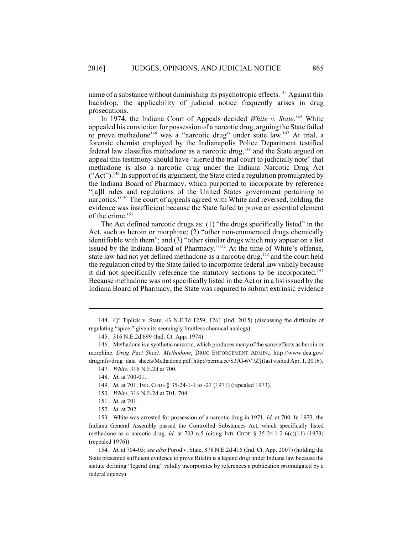name of a substance without diminishing its psychotropic effects.<sup>144</sup> Against this backdrop, the applicability of judicial notice frequently arises in drug prosecutions.

In 1974, the Indiana Court of Appeals decided White v. State.<sup>145</sup> White appealed his conviction for possession of a narcotic drug, arguing the State failed to prove methadone<sup>146</sup> was a "narcotic drug" under state law.<sup>147</sup> At trial, a forensic chemist employed by the Indianapolis Police Department testified federal law classifies methadone as a narcotic drug,  $148$  and the State argued on appeal this testimony should have "alerted the trial court to judicially note" that methadone is also a narcotic drug under the Indiana Narcotic Drug Act  $("Act")$ . <sup>149</sup> In support of its argument, the State cited a regulation promulgated by the Indiana Board of Pharmacy, which purported to incorporate by reference "[a]ll rules and regulations of the United States government pertaining to narcotics."<sup>150</sup> The court of appeals agreed with White and reversed, holding the evidence was insufficient because the State failed to prove an essential element of the crime.<sup>151</sup>

The Act defined narcotic drugs as: (1) "the drugs specifically listed" in the Act, such as heroin or morphine; (2) "other non-enumerated drugs chemically identifiable with them"; and (3) "other similar drugs which may appear on a list issued by the Indiana Board of Pharmacy."<sup>152</sup> At the time of White's offense, state law had not yet defined methadone as a narcotic drug,  $153$  and the court held the regulation cited by the State failed to incorporate federal law validly because it did not specifically reference the statutory sections to be incorporated.<sup>154</sup> Because methadone was not specifically listed in the Act or in a list issued by the Indiana Board of Pharmacy, the State was required to submit extrinsic evidence

154. *Id.* at 704-05; *see also* Porod v. State, 878 N.E.2d 415 (Ind. Ct. App. 2007) (holding the State presented sufficient evidence to prove Ritalin is a legend drug under Indiana law because the statute defining "legend drug" validly incorporates by references a publication promulgated by a federal agency).

<sup>144.</sup> *Cf.* Tiplick v. State, 43 N.E.3d 1259, 1261 (Ind. 2015) (discussing the difficulty of regulating "spice," given its seemingly limitless chemical analogs).

<sup>145.</sup> 316 N.E.2d 699 (Ind. Ct. App. 1974).

<sup>146.</sup> Methadone is a synthetic narcotic, which produces many of the same effects as heroin or morphine. *Drug Fact Sheet: Methadone*, DRUG ENFORCEMENT ADMIN., http://www.dea.gov/ druginfo/drug\_data\_sheets/Methadone.pdf [http://perma.cc/S3JG-6V7Z] (last visited Apr. 1, 2016).

<sup>147.</sup> *White*, 316 N.E.2d at 700.

<sup>148.</sup> *Id.* at 700-01.

<sup>149.</sup> *Id.* at 701; IND. CODE § 35-24-1-1 to -27 (1971) (repealed 1973).

<sup>150.</sup> *White*, 316 N.E.2d at 701, 704.

<sup>151.</sup> *Id.* at 701.

<sup>152.</sup> *Id.* at 702.

<sup>153.</sup> White was arrested for possession of a narcotic drug in 1971. *Id.* at 700. In 1973, the Indiana General Assembly passed the Controlled Substances Act, which specifically listed methadone as a narcotic drug. *Id.* at 703 n.5 (citing IND. CODE § 35-24.1-2-6(c)(11) (1973) (repealed 1976)).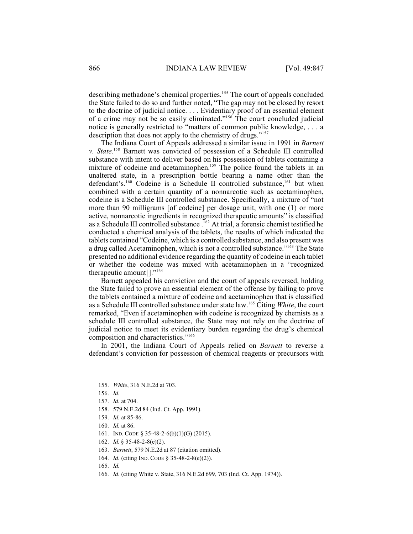describing methadone's chemical properties.<sup>155</sup> The court of appeals concluded the State failed to do so and further noted, "The gap may not be closed by resort to the doctrine of judicial notice. . . . Evidentiary proof of an essential element of a crime may not be so easily eliminated."<sup>156</sup> The court concluded judicial notice is generally restricted to "matters of common public knowledge, . . . a description that does not apply to the chemistry of drugs."<sup>157</sup>

The Indiana Court of Appeals addressed a similar issue in 1991 in *Barnett v. State.*<sup>158</sup> Barnett was convicted of possession of a Schedule III controlled substance with intent to deliver based on his possession of tablets containing a mixture of codeine and acetaminophen.<sup>159</sup> The police found the tablets in an unaltered state, in a prescription bottle bearing a name other than the defendant's.<sup>160</sup> Codeine is a Schedule II controlled substance,<sup>161</sup> but when combined with a certain quantity of a nonnarcotic such as acetaminophen, codeine is a Schedule III controlled substance. Specifically, a mixture of "not more than 90 milligrams [of codeine] per dosage unit, with one (1) or more active, nonnarcotic ingredients in recognized therapeutic amounts" is classified as a Schedule III controlled substance  $162$  At trial, a forensic chemist testified he conducted a chemical analysis of the tablets, the results of which indicated the tablets contained "Codeine, which is a controlled substance, and also present was a drug called Acetaminophen, which is not a controlled substance." $163$  The State presented no additional evidence regarding the quantity of codeine in each tablet or whether the codeine was mixed with acetaminophen in a "recognized therapeutic amount[]."<sup>164</sup>

Barnett appealed his conviction and the court of appeals reversed, holding the State failed to prove an essential element of the offense by failing to prove the tablets contained a mixture of codeine and acetaminophen that is classified as a Schedule III controlled substance under state law.<sup>165</sup> Citing *White*, the court remarked, "Even if acetaminophen with codeine is recognized by chemists as a schedule III controlled substance, the State may not rely on the doctrine of judicial notice to meet its evidentiary burden regarding the drug's chemical composition and characteristics." 166

In 2001, the Indiana Court of Appeals relied on *Barnett* to reverse a defendant's conviction for possession of chemical reagents or precursors with

166. *Id.* (citing White v. State, 316 N.E.2d 699, 703 (Ind. Ct. App. 1974)).

<sup>155.</sup> *White*, 316 N.E.2d at 703.

<sup>156.</sup> *Id.*

<sup>157.</sup> *Id.* at 704.

<sup>158.</sup> 579 N.E.2d 84 (Ind. Ct. App. 1991).

<sup>159.</sup> *Id.* at 85-86.

<sup>160.</sup> *Id.* at 86.

<sup>161.</sup> IND. CODE § 35-48-2-6(b)(1)(G) (2015).

<sup>162.</sup> *Id.* § 35-48-2-8(e)(2).

<sup>163.</sup> *Barnett*, 579 N.E.2d at 87 (citation omitted).

<sup>164.</sup> *Id.* (citing IND. CODE § 35-48-2-8(e)(2)).

<sup>165.</sup> *Id.*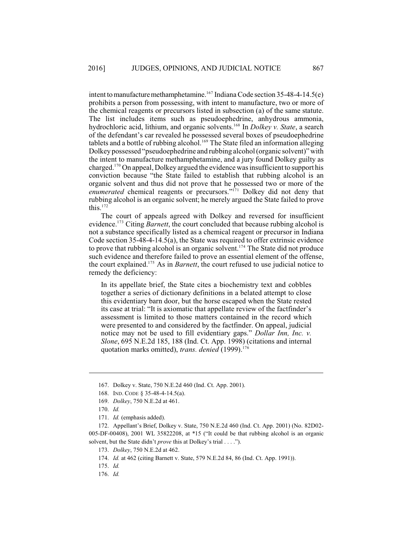intent to manufacture methamphetamine.<sup>167</sup> Indiana Code section 35-48-4-14.5(e) prohibits a person from possessing, with intent to manufacture, two or more of the chemical reagents or precursors listed in subsection (a) of the same statute. The list includes items such as pseudoephedrine, anhydrous ammonia, hydrochloric acid, lithium, and organic solvents.<sup>168</sup> In *Dolkey v. State*, a search of the defendant's car revealed he possessed several boxes of pseudoephedrine tablets and a bottle of rubbing alcohol.<sup>169</sup> The State filed an information alleging Dolkey possessed "pseudoephedrine and rubbing alcohol (organic solvent)" with the intent to manufacture methamphetamine, and a jury found Dolkey guilty as charged.<sup>170</sup> On appeal, Dolkey argued the evidence was insufficient to support his conviction because "the State failed to establish that rubbing alcohol is an organic solvent and thus did not prove that he possessed two or more of the enumerated chemical reagents or precursors."<sup>171</sup> Dolkey did not deny that rubbing alcohol is an organic solvent; he merely argued the State failed to prove this. $172$ 

The court of appeals agreed with Dolkey and reversed for insufficient evidence.<sup>173</sup> Citing *Barnett*, the court concluded that because rubbing alcohol is not a substance specifically listed as a chemical reagent or precursor in Indiana Code section 35-48-4-14.5(a), the State was required to offer extrinsic evidence to prove that rubbing alcohol is an organic solvent.<sup>174</sup> The State did not produce such evidence and therefore failed to prove an essential element of the offense, the court explained.<sup>175</sup> As in *Barnett*, the court refused to use judicial notice to remedy the deficiency:

In its appellate brief, the State cites a biochemistry text and cobbles together a series of dictionary definitions in a belated attempt to close this evidentiary barn door, but the horse escaped when the State rested its case at trial: "It is axiomatic that appellate review of the factfinder's assessment is limited to those matters contained in the record which were presented to and considered by the factfinder. On appeal, judicial notice may not be used to fill evidentiary gaps." *Dollar Inn, Inc. v. Slone*, 695 N.E.2d 185, 188 (Ind. Ct. App. 1998) (citations and internal quotation marks omitted), *trans. denied* (1999). 176

<sup>167.</sup> Dolkey v. State, 750 N.E.2d 460 (Ind. Ct. App. 2001).

<sup>168.</sup> IND. CODE § 35-48-4-14.5(a).

<sup>169.</sup> *Dolkey*, 750 N.E.2d at 461.

<sup>170.</sup> *Id.*

<sup>171.</sup> *Id.* (emphasis added).

<sup>172.</sup> Appellant's Brief, Dolkey v. State, 750 N.E.2d 460 (Ind. Ct. App. 2001) (No. 82D02- 005-DF-00408), 2001 WL 35822208, at \*15 ("It could be that rubbing alcohol is an organic solvent, but the State didn't *prove* this at Dolkey's trial . . . .").

<sup>173.</sup> *Dolkey*, 750 N.E.2d at 462.

<sup>174.</sup> *Id.* at 462 (citing Barnett v. State, 579 N.E.2d 84, 86 (Ind. Ct. App. 1991)).

<sup>175.</sup> *Id.*

<sup>176.</sup> *Id.*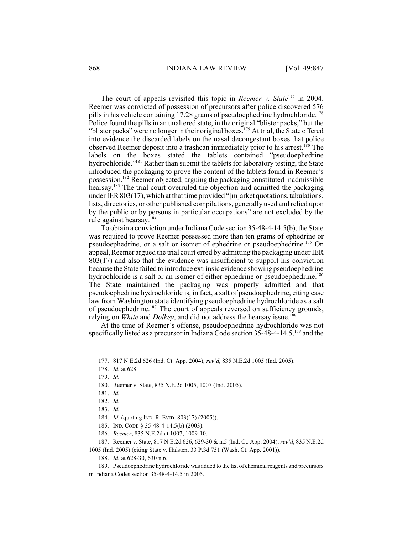The court of appeals revisited this topic in *Reemer v. State*<sup>177</sup> in 2004. Reemer was convicted of possession of precursors after police discovered 576 pills in his vehicle containing 17.28 grams of pseudoephedrine hydrochloride.<sup>178</sup> Police found the pills in an unaltered state, in the original "blister packs," but the "blister packs" were no longer in their original boxes.<sup>179</sup> At trial, the State offered into evidence the discarded labels on the nasal decongestant boxes that police observed Reemer deposit into a trashcan immediately prior to his arrest.<sup>180</sup> The labels on the boxes stated the tablets contained "pseudoephedrine hydrochloride."<sup>181</sup> Rather than submit the tablets for laboratory testing, the State introduced the packaging to prove the content of the tablets found in Reemer's possession.<sup>182</sup> Reemer objected, arguing the packaging constituted inadmissible hearsay.<sup>183</sup> The trial court overruled the objection and admitted the packaging under IER 803(17), which at that time provided "[m]arket quotations,tabulations, lists, directories, or other published compilations, generally used and relied upon by the public or by persons in particular occupations" are not excluded by the rule against hearsay.<sup>184</sup>

To obtain a conviction under Indiana Code section 35-48-4-14.5(b), the State was required to prove Reemer possessed more than ten grams of ephedrine or pseudoephedrine, or a salt or isomer of ephedrine or pseudoephedrine.<sup>185</sup> On appeal, Reemer argued the trial court erred by admitting the packaging under IER 803(17) and also that the evidence was insufficient to support his conviction because the State failed to introduce extrinsic evidence showing pseudoephedrine hydrochloride is a salt or an isomer of either ephedrine or pseudoephedrine.<sup>186</sup> The State maintained the packaging was properly admitted and that pseudoephedrine hydrochloride is, in fact, a salt of pseudoephedrine, citing case law from Washington state identifying pseudoephedrine hydrochloride as a salt of pseudoephedrine.<sup>187</sup> The court of appeals reversed on sufficiency grounds, relying on *White* and *Dolkey*, and did not address the hearsay issue. 188

At the time of Reemer's offense, pseudoephedrine hydrochloride was not specifically listed as a precursor in Indiana Code section  $35-48-4-14.5$ ,  $189$  and the

180. Reemer v. State, 835 N.E.2d 1005, 1007 (Ind. 2005).

<sup>177.</sup> 817 N.E.2d 626 (Ind. Ct. App. 2004), *rev'd*, 835 N.E.2d 1005 (Ind. 2005).

<sup>178.</sup> *Id.* at 628.

<sup>179.</sup> *Id.*

<sup>181.</sup> *Id.*

<sup>182.</sup> *Id.*

<sup>183.</sup> *Id.*

<sup>184.</sup> *Id.* (quoting IND. R. EVID. 803(17) (2005)).

<sup>185.</sup> IND. CODE § 35-48-4-14.5(b) (2003).

<sup>186.</sup> *Reemer*, 835 N.E.2d at 1007, 1009-10.

<sup>187.</sup> Reemer v. State, 817 N.E.2d 626, 629-30 & n.5 (Ind. Ct. App. 2004), *rev'd*, 835 N.E.2d

<sup>1005 (</sup>Ind. 2005) (citing State v. Halsten, 33 P.3d 751 (Wash. Ct. App. 2001)).

<sup>188.</sup> *Id.* at 628-30, 630 n.6.

<sup>189.</sup> Pseudoephedrine hydrochloride was added to the list of chemical reagents and precursors in Indiana Codes section 35-48-4-14.5 in 2005.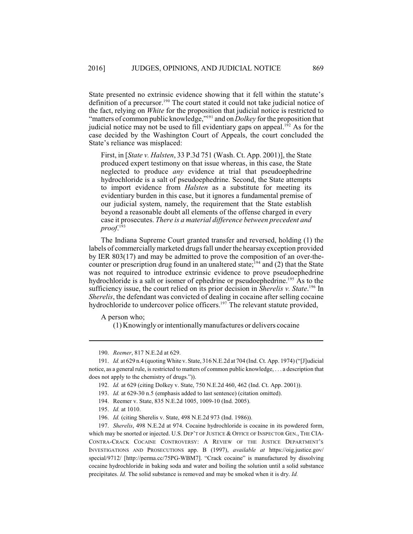State presented no extrinsic evidence showing that it fell within the statute's definition of a precursor.<sup>190</sup> The court stated it could not take judicial notice of the fact, relying on *White* for the proposition that judicial notice is restricted to "matters of common public knowledge,"<sup>191</sup> and on *Dolkey* for the proposition that judicial notice may not be used to fill evidentiary gaps on appeal.<sup> $192$ </sup> As for the case decided by the Washington Court of Appeals, the court concluded the State's reliance was misplaced:

First, in [*State v. Halsten*, 33 P.3d 751 (Wash. Ct. App. 2001)], the State produced expert testimony on that issue whereas, in this case, the State neglected to produce *any* evidence at trial that pseudoephedrine hydrochloride is a salt of pseudoephedrine. Second, the State attempts to import evidence from *Halsten* as a substitute for meeting its evidentiary burden in this case, but it ignores a fundamental premise of our judicial system, namely, the requirement that the State establish beyond a reasonable doubt all elements of the offense charged in every case it prosecutes. *There is a material difference between precedent and proof*. 193

The Indiana Supreme Court granted transfer and reversed, holding (1) the labels of commercially marketed drugs fall under the hearsay exception provided by IER 803(17) and may be admitted to prove the composition of an over-thecounter or prescription drug found in an unaltered state;  $^{194}$  and (2) that the State was not required to introduce extrinsic evidence to prove pseudoephedrine hydrochloride is a salt or isomer of ephedrine or pseudoephedrine.<sup>195</sup> As to the sufficiency issue, the court relied on its prior decision in *Sherelis v. State*.<sup>196</sup> In *Sherelis*, the defendant was convicted of dealing in cocaine after selling cocaine hydrochloride to undercover police officers.<sup>197</sup> The relevant statute provided,

A person who;

(1) Knowingly or intentionally manufactures or delivers cocaine

<sup>190.</sup> *Reemer*, 817 N.E.2d at 629.

<sup>191.</sup> *Id.* at 629 n.4 (quoting White v. State, 316 N.E.2d at 704 (Ind. Ct. App. 1974) ("[J]udicial notice, as a general rule, is restricted to matters of common public knowledge, . . . a description that does not apply to the chemistry of drugs.")).

<sup>192.</sup> *Id.* at 629 (citing Dolkey v. State, 750 N.E.2d 460, 462 (Ind. Ct. App. 2001)).

<sup>193.</sup> *Id.* at 629-30 n.5 (emphasis added to last sentence) (citation omitted).

<sup>194.</sup> Reemer v. State, 835 N.E.2d 1005, 1009-10 (Ind. 2005).

<sup>195.</sup> *Id.* at 1010.

<sup>196.</sup> *Id.* (citing Sherelis v. State, 498 N.E.2d 973 (Ind. 1986)).

<sup>197.</sup> *Sherelis*, 498 N.E.2d at 974. Cocaine hydrochloride is cocaine in its powdered form, which may be snorted or injected. U.S. DEP'T OF JUSTICE & OFFICE OF INSPECTOR GEN., THE CIA-CONTRA-CRACK COCAINE CONTROVERSY: A REVIEW OF THE JUSTICE DEPARTMENT'S INVESTIGATIONS AND PROSECUTIONS app. B (1997), *available at* https://oig.justice.gov/ special/9712/ [http://perma.cc/75PG-WBM7]. "Crack cocaine" is manufactured by dissolving cocaine hydrochloride in baking soda and water and boiling the solution until a solid substance precipitates. *Id.* The solid substance is removed and may be smoked when it is dry. *Id.*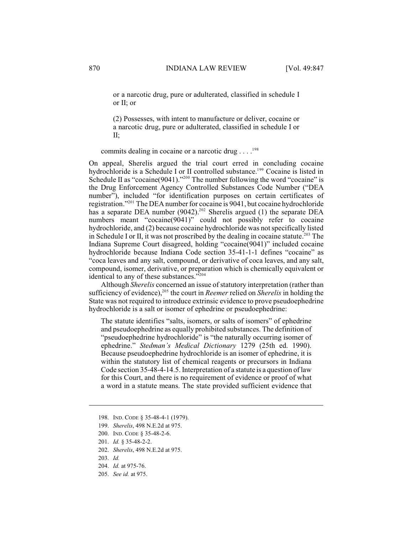or a narcotic drug, pure or adulterated, classified in schedule I or II; or

(2) Possesses, with intent to manufacture or deliver, cocaine or a narcotic drug, pure or adulterated, classified in schedule I or II;

commits dealing in cocaine or a narcotic drug  $\dots$ .<sup>198</sup>

On appeal, Sherelis argued the trial court erred in concluding cocaine hydrochloride is a Schedule I or II controlled substance.<sup>199</sup> Cocaine is listed in Schedule II as "cocaine(9041)."<sup>200</sup> The number following the word "cocaine" is the Drug Enforcement Agency Controlled Substances Code Number ("DEA number"), included "for identification purposes on certain certificates of registration."<sup>201</sup> The DEA number for cocaine is 9041, but cocaine hydrochloride has a separate DEA number (9042).<sup>202</sup> Sherelis argued (1) the separate DEA numbers meant "cocaine(9041)" could not possibly refer to cocaine hydrochloride, and (2) because cocaine hydrochloride was not specifically listed in Schedule I or II, it was not proscribed by the dealing in cocaine statute.<sup>203</sup> The Indiana Supreme Court disagreed, holding "cocaine(9041)" included cocaine hydrochloride because Indiana Code section 35-41-1-1 defines "cocaine" as "coca leaves and any salt, compound, or derivative of coca leaves, and any salt, compound, isomer, derivative, or preparation which is chemically equivalent or identical to any of these substances."<sup>204</sup>

Although *Sherelis* concerned an issue of statutory interpretation (rather than sufficiency of evidence),<sup>205</sup> the court in *Reemer* relied on *Sherelis* in holding the State was not required to introduce extrinsic evidence to prove pseudoephedrine hydrochloride is a salt or isomer of ephedrine or pseudoephedrine:

The statute identifies "salts, isomers, or salts of isomers" of ephedrine and pseudoephedrine as equally prohibited substances. The definition of "pseudoephedrine hydrochloride" is "the naturally occurring isomer of ephedrine." *Stedman's Medical Dictionary* 1279 (25th ed. 1990). Because pseudoephedrine hydrochloride is an isomer of ephedrine, it is within the statutory list of chemical reagents or precursors in Indiana Code section 35-48-4-14.5. Interpretation of a statute is a question of law for this Court, and there is no requirement of evidence or proof of what a word in a statute means. The state provided sufficient evidence that

<sup>198.</sup> IND. CODE § 35-48-4-1 (1979).

<sup>199.</sup> *Sherelis*, 498 N.E.2d at 975.

<sup>200.</sup> IND. CODE § 35-48-2-6.

<sup>201.</sup> *Id.* § 35-48-2-2.

<sup>202.</sup> *Sherelis*, 498 N.E.2d at 975.

<sup>203.</sup> *Id.*

<sup>204.</sup> *Id.* at 975-76.

<sup>205.</sup> *See id.* at 975.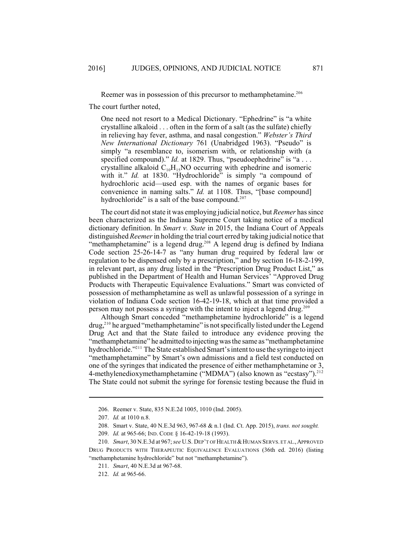Reemer was in possession of this precursor to methamphetamine.<sup>206</sup>

The court further noted,

One need not resort to a Medical Dictionary. "Ephedrine" is "a white crystalline alkaloid . . . often in the form of a salt (as the sulfate) chiefly in relieving hay fever, asthma, and nasal congestion." *Webster's Third New International Dictionary* 761 (Unabridged 1963). "Pseudo" is simply "a resemblance to, isomerism with, or relationship with (a specified compound)." *Id.* at 1829. Thus, "pseudoephedrine" is "a . . . crystalline alkaloid  $C_{10}H_{15}NO$  occurring with ephedrine and isomeric with it." *Id.* at 1830. "Hydrochloride" is simply "a compound of hydrochloric acid—used esp. with the names of organic bases for convenience in naming salts." *Id.* at 1108. Thus, "[base compound] hydrochloride" is a salt of the base compound.<sup>207</sup>

The court did notstate it was employing judicial notice, but *Reemer* hassince been characterized as the Indiana Supreme Court taking notice of a medical dictionary definition. In *Smart v. State* in 2015, the Indiana Court of Appeals distinguished *Reemer* in holding the trial court erred by taking judicial notice that "methamphetamine" is a legend drug.<sup>208</sup> A legend drug is defined by Indiana Code section 25-26-14-7 as "any human drug required by federal law or regulation to be dispensed only by a prescription," and by section 16-18-2-199, in relevant part, as any drug listed in the "Prescription Drug Product List," as published in the Department of Health and Human Services' "Approved Drug Products with Therapeutic Equivalence Evaluations." Smart was convicted of possession of methamphetamine as well as unlawful possession of a syringe in violation of Indiana Code section 16-42-19-18, which at that time provided a person may not possess a syringe with the intent to inject a legend drug.<sup>209</sup>

Although Smart conceded "methamphetamine hydrochloride" is a legend  $d\text{rug}<sup>210</sup>$  he argued "methamphetamine" is not specifically listed under the Legend Drug Act and that the State failed to introduce any evidence proving the "methamphetamine" he admitted to injecting was the same as "methamphetamine" hydrochloride."<sup>211</sup> The State established Smart's intent to use the syringe to inject "methamphetamine" by Smart's own admissions and a field test conducted on one of the syringes that indicated the presence of either methamphetamine or 3, 4-methylenedioxymethamphetamine ("MDMA") (also known as "ecstasy").<sup>212</sup> The State could not submit the syringe for forensic testing because the fluid in

<sup>206.</sup> Reemer v. State, 835 N.E.2d 1005, 1010 (Ind. 2005).

<sup>207.</sup> *Id.* at 1010 n.8.

<sup>208.</sup> Smart v. State, 40 N.E.3d 963, 967-68 & n.1 (Ind. Ct. App. 2015), *trans. not sought.*

<sup>209.</sup> *Id.* at 965-66; IND. CODE § 16-42-19-18 (1993).

<sup>210.</sup> *Smart*, 30 N.E.3d at 967; see U.S. DEP'T OF HEALTH & HUMAN SERVS. ET AL., APPROVED DRUG PRODUCTS WITH THERAPEUTIC EQUIVALENCE EVALUATIONS (36th ed. 2016) (listing "methamphetamine hydrochloride" but not "methamphetamine").

<sup>211.</sup> *Smart*, 40 N.E.3d at 967-68.

<sup>212.</sup> *Id.* at 965-66.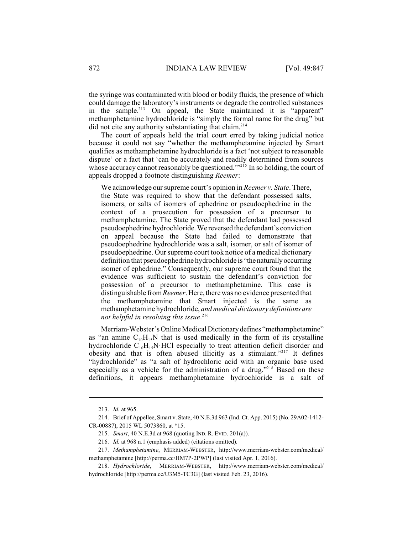the syringe was contaminated with blood or bodily fluids, the presence of which could damage the laboratory's instruments or degrade the controlled substances in the sample.<sup>213</sup> On appeal, the State maintained it is "apparent" methamphetamine hydrochloride is "simply the formal name for the drug" but did not cite any authority substantiating that claim. 214

The court of appeals held the trial court erred by taking judicial notice because it could not say "whether the methamphetamine injected by Smart qualifies as methamphetamine hydrochloride is a fact 'not subject to reasonable dispute' or a fact that 'can be accurately and readily determined from sources whose accuracy cannot reasonably be questioned. $\frac{1}{2}$  In so holding, the court of appeals dropped a footnote distinguishing *Reemer*:

We acknowledge our supreme court's opinion in *Reemer v. State*. There, the State was required to show that the defendant possessed salts, isomers, or salts of isomers of ephedrine or pseudoephedrine in the context of a prosecution for possession of a precursor to methamphetamine. The State proved that the defendant had possessed pseudoephedrine hydrochloride.We reversed the defendant's conviction on appeal because the State had failed to demonstrate that pseudoephedrine hydrochloride was a salt, isomer, or salt of isomer of pseudoephedrine. Our supreme court took notice of a medical dictionary definition that pseudoephedrine hydrochloride is "thenaturallyoccurring isomer of ephedrine." Consequently, our supreme court found that the evidence was sufficient to sustain the defendant's conviction for possession of a precursor to methamphetamine. This case is distinguishable from*Reemer*. Here, there was no evidence presented that the methamphetamine that Smart injected is the same as methamphetamine hydrochloride, *and medical dictionary definitions are not helpful in resolving this issue*. 216

Merriam-Webster's Online Medical Dictionarydefines "methamphetamine" as "an amine  $C_{10}H_{15}N$  that is used medically in the form of its crystalline hydrochloride  $C_{10}H_{15}N$  HCl especially to treat attention deficit disorder and obesity and that is often abused illicitly as a stimulant."<sup>217</sup> It defines "hydrochloride" as "a salt of hydrochloric acid with an organic base used especially as a vehicle for the administration of a drug."<sup> $218$ </sup> Based on these definitions, it appears methamphetamine hydrochloride is a salt of

<sup>213.</sup> *Id.* at 965.

<sup>214.</sup> Brief of Appellee, Smart v. State, 40 N.E.3d 963 (Ind. Ct. App. 2015) (No. 29A02-1412- CR-00887), 2015 WL 5073860, at \*15.

<sup>215.</sup> *Smart*, 40 N.E.3d at 968 (quoting IND. R. EVID. 201(a)).

<sup>216.</sup> *Id.* at 968 n.1 (emphasis added) (citations omitted).

<sup>217.</sup> *Methamphetamine*, MERRIAM-WEBSTER, http://www.merriam-webster.com/medical/ methamphetamine [http://perma.cc/HM7P-2PWP] (last visited Apr. 1, 2016).

<sup>218.</sup> *Hydrochloride*, MERRIAM-WEBSTER, http://www.merriam-webster.com/medical/ hydrochloride [http://perma.cc/U3M5-TC3G] (last visited Feb. 23, 2016).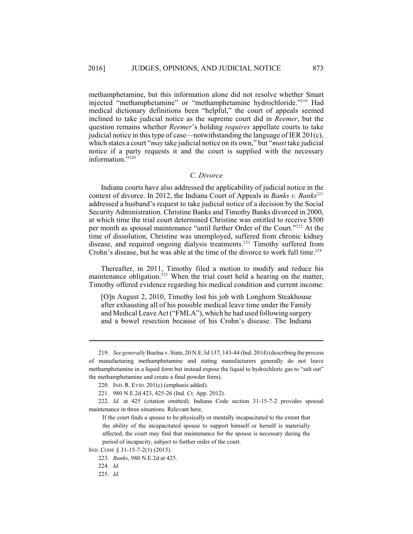methamphetamine, but this information alone did not resolve whether Smart injected "methamphetamine" or "methamphetamine hydrochloride."<sup>219</sup> Had medical dictionary definitions been "helpful," the court of appeals seemed inclined to take judicial notice as the supreme court did in *Reemer*, but the question remains whether *Reemer*'s holding *requires* appellate courts to take judicial notice in this type of case—notwithstanding the language of IER  $201(c)$ , which states a court "*may* take judicial notice on its own," but "*must* take judicial notice if a party requests it and the court is supplied with the necessary information."<sup>220</sup>

#### *C. Divorce*

Indiana courts have also addressed the applicability of judicial notice in the context of divorce. In 2012, the Indiana Court of Appeals in *Banks* v. *Banks*<sup>221</sup> addressed a husband's request to take judicial notice of a decision by the Social Security Administration. Christine Banks and Timothy Banks divorced in 2000, at which time the trial court determined Christine was entitled to receive \$500 per month as spousal maintenance "until further Order of the Court."<sup>222</sup> At the time of dissolution, Christine was unemployed, suffered from chronic kidney disease, and required ongoing dialysis treatments.<sup>223</sup> Timothy suffered from Crohn's disease, but he was able at the time of the divorce to work full time.<sup>224</sup>

Thereafter, in 2011, Timothy filed a motion to modify and reduce his maintenance obligation.<sup>225</sup> When the trial court held a hearing on the matter, Timothy offered evidence regarding his medical condition and current income:

[O]n August 2, 2010, Timothy lost his job with Longhorn Steakhouse after exhausting all of his possible medical leave time under the Family and Medical Leave Act("FMLA"), which he had used following surgery and a bowel resection because of his Crohn's disease. The Indiana

<sup>219.</sup> *See generally* Buelna v. State, 20 N.E.3d 137, 143-44 (Ind. 2014) (describing the process of manufacturing methamphetamine and stating manufacturers generally do not leave methamphetamine in a liquid form but instead expose the liquid to hydrochloric gas to "salt out" the methamphetamine and create a final powder form).

<sup>220.</sup> IND. R. EVID. 201(c) (emphasis added).

<sup>221.</sup> 980 N.E.2d 423, 425-26 (Ind. Ct. App. 2012).

<sup>222.</sup> *Id.* at 425 (citation omitted). Indiana Code section 31-15-7-2 provides spousal maintenance in three situations. Relevant here,

If the court finds a spouse to be physically or mentally incapacitated to the extent that the ability of the incapacitated spouse to support himself or herself is materially affected, the court may find that maintenance for the spouse is necessary during the period of incapacity, subject to further order of the court.

IND. CODE § 31-15-7-2(1) (2015).

<sup>223.</sup> *Banks*, 980 N.E.2d at 425.

<sup>224.</sup> *Id.*

<sup>225.</sup> *Id.*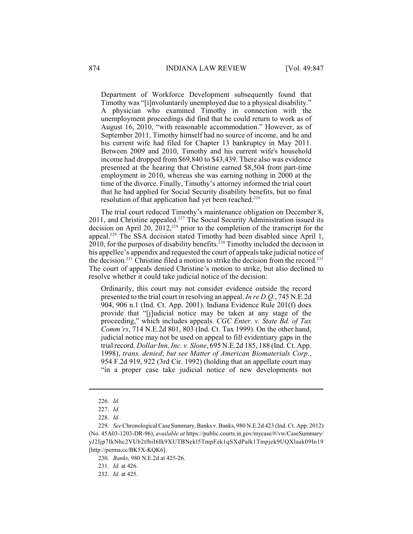Department of Workforce Development subsequently found that Timothy was "[i]nvoluntarily unemployed due to a physical disability." A physician who examined Timothy in connection with the unemployment proceedings did find that he could return to work as of August 16, 2010, "with reasonable accommodation." However, as of September 2011, Timothy himself had no source of income, and he and his current wife had filed for Chapter 13 bankruptcy in May 2011. Between 2009 and 2010, Timothy and his current wife's household income had dropped from \$69,840 to \$43,439. There also was evidence presented at the hearing that Christine earned \$8,504 from part-time employment in 2010, whereas she was earning nothing in 2000 at the time of the divorce. Finally, Timothy's attorney informed the trial court that he had applied for Social Security disability benefits, but no final resolution of that application had yet been reached.<sup>226</sup>

The trial court reduced Timothy's maintenance obligation on December 8,  $2011$ , and Christine appealed.<sup>227</sup> The Social Security Administration issued its decision on April 20, 2012,<sup>228</sup> prior to the completion of the transcript for the appeal.<sup>229</sup> The SSA decision stated Timothy had been disabled since April 1,  $2010$ , for the purposes of disability benefits.<sup>230</sup> Timothy included the decision in his appellee's appendix and requested the court of appeals take judicial notice of the decision.<sup>231</sup> Christine filed a motion to strike the decision from the record.<sup>232</sup> The court of appeals denied Christine's motion to strike, but also declined to resolve whether it could take judicial notice of the decision:

Ordinarily, this court may not consider evidence outside the record presented to the trial court in resolving an appeal. *In re D.Q.*, 745 N.E.2d 904, 906 n.1 (Ind. Ct. App. 2001). Indiana Evidence Rule 201(f) does provide that "[j]udicial notice may be taken at any stage of the proceeding," which includes appeals. *CGC Enter. v. State Bd. of Tax Comm'rs*, 714 N.E.2d 801, 803 (Ind. Ct. Tax 1999). On the other hand, judicial notice may not be used on appeal to fill evidentiary gaps in the trial record. *Dollar Inn, Inc. v. Slone*, 695 N.E.2d 185, 188 (Ind. Ct. App. 1998), *trans. denied*; *but see Matter of American Biomaterials Corp.*, 954 F.2d 919, 922 (3rd Cir. 1992) (holding that an appellate court may "in a proper case take judicial notice of new developments not

<sup>226.</sup> *Id.*

<sup>227.</sup> *Id.*

<sup>228.</sup> *Id.*

<sup>229.</sup> *See* Chronological Case Summary, Banks v. Banks, 980 N.E.2d 423 (Ind. Ct. App. 2012) (No. 45A03-1203-DR-96), *available at* https://public.courts.in.gov/mycase/#/vw/CaseSummary/ yJ2Ijp7IkNhc2VUb2tlbiI6Ik9XUTBNekl5TmpFek1qSXdPalk1Tmpjek9UQXlaak09In19 [http://perma.cc/BK5X-KQK6].

<sup>230.</sup> *Banks*, 980 N.E.2d at 425-26.

<sup>231.</sup> *Id.* at 426.

<sup>232.</sup> *Id.* at 425.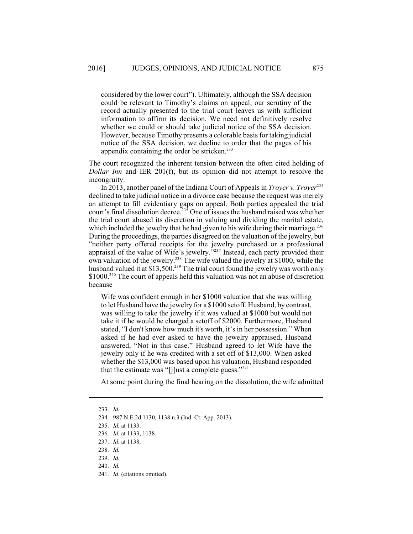considered by the lower court"). Ultimately, although the SSA decision could be relevant to Timothy's claims on appeal, our scrutiny of the record actually presented to the trial court leaves us with sufficient information to affirm its decision. We need not definitively resolve whether we could or should take judicial notice of the SSA decision. However, because Timothy presents a colorable basis for taking judicial notice of the SSA decision, we decline to order that the pages of his appendix containing the order be stricken.<sup>233</sup>

The court recognized the inherent tension between the often cited holding of *Dollar Inn* and IER 201(f), but its opinion did not attempt to resolve the incongruity.

In 2013, another panel of the Indiana Court of Appeals in *Troyer v. Troyer*<sup>234</sup> declined to take judicial notice in a divorce case because the request was merely an attempt to fill evidentiary gaps on appeal. Both parties appealed the trial court's final dissolution decree.<sup>235</sup> One of issues the husband raised was whether the trial court abused its discretion in valuing and dividing the marital estate, which included the jewelry that he had given to his wife during their marriage.<sup>236</sup> During the proceedings, the parties disagreed on the valuation of the jewelry, but "neither party offered receipts for the jewelry purchased or a professional appraisal of the value of Wife's jewelry."<sup>237</sup> Instead, each party provided their own valuation of the jewelry.<sup>238</sup> The wife valued the jewelry at \$1000, while the husband valued it at \$13,500.<sup>239</sup> The trial court found the jewelry was worth only  $$1000.<sup>240</sup>$  The court of appeals held this valuation was not an abuse of discretion because

Wife was confident enough in her \$1000 valuation that she was willing to let Husband have the jewelry for a \$1000 setoff. Husband, by contrast, was willing to take the jewelry if it was valued at \$1000 but would not take it if he would be charged a setoff of \$2000. Furthermore, Husband stated, "I don't know how much it's worth, it's in her possession." When asked if he had ever asked to have the jewelry appraised, Husband answered, "Not in this case." Husband agreed to let Wife have the jewelry only if he was credited with a set off of \$13,000. When asked whether the \$13,000 was based upon his valuation, Husband responded that the estimate was "[j]ust a complete guess."<sup>241</sup>

At some point during the final hearing on the dissolution, the wife admitted

<sup>233.</sup> *Id.*

<sup>234.</sup> 987 N.E.2d 1130, 1138 n.3 (Ind. Ct. App. 2013).

<sup>235.</sup> *Id.* at 1133.

<sup>236.</sup> *Id.* at 1133, 1138.

<sup>237.</sup> *Id.* at 1138.

<sup>238.</sup> *Id.* 

<sup>239.</sup> *Id.*

<sup>240.</sup> *Id.*

<sup>241.</sup> *Id.* (citations omitted).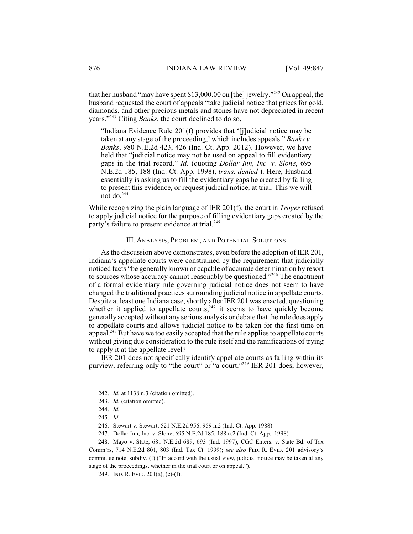that her husband "may have spent \$13,000.00 on [the] jewelry."<sup>242</sup> On appeal, the husband requested the court of appeals "take judicial notice that prices for gold, diamonds, and other precious metals and stones have not depreciated in recent years."<sup>243</sup> Citing *Banks*, the court declined to do so,

"Indiana Evidence Rule 201(f) provides that '[j]udicial notice may be taken at any stage of the proceeding,' which includes appeals." *Banks v. Banks*, 980 N.E.2d 423, 426 (Ind. Ct. App. 2012). However, we have held that "judicial notice may not be used on appeal to fill evidentiary gaps in the trial record." *Id.* (quoting *Dollar Inn, Inc. v. Slone*, 695 N.E.2d 185, 188 (Ind. Ct. App. 1998), *trans. denied* ). Here, Husband essentially is asking us to fill the evidentiary gaps he created by failing to present this evidence, or request judicial notice, at trial. This we will not do. $244$ 

While recognizing the plain language of IER 201(f), the court in *Troyer* refused to apply judicial notice for the purpose of filling evidentiary gaps created by the party's failure to present evidence at trial.<sup>245</sup>

#### III. ANALYSIS, PROBLEM, AND POTENTIAL SOLUTIONS

As the discussion above demonstrates, even before the adoption of IER 201, Indiana's appellate courts were constrained by the requirement that judicially noticed facts "be generally known or capable of accurate determination by resort to sources whose accuracy cannot reasonably be questioned."<sup> $246$ </sup> The enactment of a formal evidentiary rule governing judicial notice does not seem to have changed the traditional practices surrounding judicial notice in appellate courts. Despite at least one Indiana case, shortly after IER 201 was enacted, questioning whether it applied to appellate courts,<sup>247</sup> it seems to have quickly become generally accepted without any serious analysis or debate that the rule does apply to appellate courts and allows judicial notice to be taken for the first time on appeal.<sup>248</sup> But have we too easily accepted that the rule applies to appellate courts without giving due consideration to the rule itself and the ramifications of trying to apply it at the appellate level?

IER 201 does not specifically identify appellate courts as falling within its purview, referring only to "the court" or "a court."<sup>249</sup> IER 201 does, however,

<sup>242.</sup> *Id.* at 1138 n.3 (citation omitted).

<sup>243.</sup> *Id.* (citation omitted).

<sup>244.</sup> *Id.*

<sup>245.</sup> *Id.*

<sup>246.</sup> Stewart v. Stewart, 521 N.E.2d 956, 959 n.2 (Ind. Ct. App. 1988).

<sup>247.</sup> Dollar Inn, Inc. v. Slone, 695 N.E.2d 185, 188 n.2 (Ind. Ct. App.. 1998).

<sup>248.</sup> Mayo v. State, 681 N.E.2d 689, 693 (Ind. 1997); CGC Enters. v. State Bd. of Tax Comm'rs, 714 N.E.2d 801, 803 (Ind. Tax Ct. 1999); *see also* FED. R. EVID. 201 advisory's committee note, subdiv. (f) ("In accord with the usual view, judicial notice may be taken at any stage of the proceedings, whether in the trial court or on appeal.").

<sup>249.</sup> IND. R. EVID. 201(a), (c)-(f).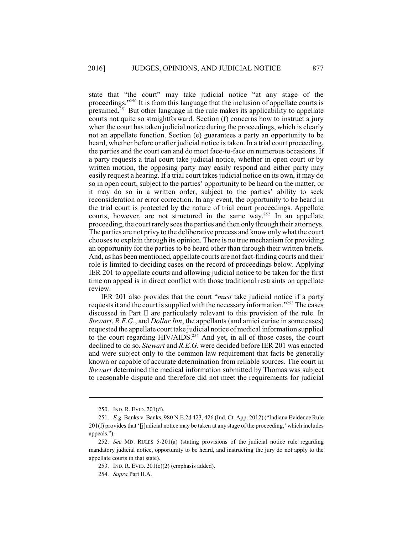state that "the court" may take judicial notice "at any stage of the proceedings." $250$  It is from this language that the inclusion of appellate courts is presumed. $^{251}$  But other language in the rule makes its applicability to appellate courts not quite so straightforward. Section (f) concerns how to instruct a jury when the court has taken judicial notice during the proceedings, which is clearly not an appellate function. Section (e) guarantees a party an opportunity to be heard, whether before or after judicial notice is taken. In a trial court proceeding, the parties and the court can and do meet face-to-face on numerous occasions. If a party requests a trial court take judicial notice, whether in open court or by written motion, the opposing party may easily respond and either party may easily request a hearing. If a trial court takes judicial notice on its own, it may do so in open court, subject to the parties' opportunity to be heard on the matter, or it may do so in a written order, subject to the parties' ability to seek reconsideration or error correction. In any event, the opportunity to be heard in the trial court is protected by the nature of trial court proceedings. Appellate courts, however, are not structured in the same way.<sup>252</sup> In an appellate proceeding, the court rarely sees the parties and then only through their attorneys. The parties are not privy to the deliberative process and know only what the court chooses to explain through its opinion. There is no true mechanism for providing an opportunity for the parties to be heard other than through their written briefs. And, as has been mentioned, appellate courts are not fact-finding courts and their role is limited to deciding cases on the record of proceedings below. Applying IER 201 to appellate courts and allowing judicial notice to be taken for the first time on appeal is in direct conflict with those traditional restraints on appellate review.

IER 201 also provides that the court "*must* take judicial notice if a party requests it and the court is supplied with the necessary information."<sup> $253$ </sup> The cases discussed in Part II are particularly relevant to this provision of the rule. In *Stewart*, *R.E.G.*, and *Dollar Inn*, the appellants (and amici curiae in some cases) requested the appellate court take judicial notice of medical information supplied to the court regarding  $HIV/AIDS$ .<sup>254</sup> And yet, in all of those cases, the court declined to do so. *Stewart* and *R.E.G.* were decided before IER 201 was enacted and were subject only to the common law requirement that facts be generally known or capable of accurate determination from reliable sources. The court in *Stewart* determined the medical information submitted by Thomas was subject to reasonable dispute and therefore did not meet the requirements for judicial

<sup>250.</sup> IND. R. EVID. 201(d).

<sup>251.</sup> *E.g.* Banks v. Banks, 980 N.E.2d 423, 426 (Ind. Ct. App. 2012) ("Indiana Evidence Rule 201(f) provides that '[j]udicial notice may be taken at any stage of the proceeding,' which includes appeals.").

<sup>252.</sup> *See* MD. RULES 5-201(a) (stating provisions of the judicial notice rule regarding mandatory judicial notice, opportunity to be heard, and instructing the jury do not apply to the appellate courts in that state).

<sup>253.</sup> IND. R. EVID. 201(c)(2) (emphasis added).

<sup>254.</sup> *Supra* Part II.A.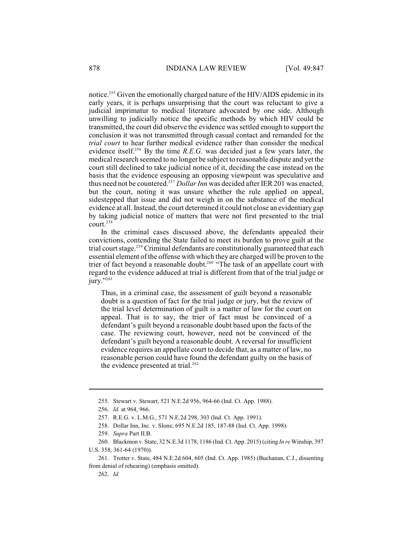notice.<sup>255</sup> Given the emotionally charged nature of the HIV/AIDS epidemic in its early years, it is perhaps unsurprising that the court was reluctant to give a judicial imprimatur to medical literature advocated by one side. Although unwilling to judicially notice the specific methods by which HIV could be transmitted, the court did observe the evidence was settled enough to support the conclusion it was not transmitted through casual contact and remanded for the *trial court* to hear further medical evidence rather than consider the medical evidence itself.<sup>256</sup> By the time *R.E.G.* was decided just a few years later, the medical research seemed to no longer be subject to reasonable dispute and yet the court still declined to take judicial notice of it, deciding the case instead on the basis that the evidence espousing an opposing viewpoint was speculative and thus need not be countered.<sup>257</sup> Dollar Inn was decided after IER 201 was enacted, but the court, noting it was unsure whether the rule applied on appeal, sidestepped that issue and did not weigh in on the substance of the medical evidence at all. Instead, the court determined it could not close an evidentiary gap by taking judicial notice of matters that were not first presented to the trial court. 258

In the criminal cases discussed above, the defendants appealed their convictions, contending the State failed to meet its burden to prove guilt at the trial court stage.<sup>259</sup> Criminal defendants are constitutionally guaranteed that each essential element of the offense with which they are charged will be proven to the trier of fact beyond a reasonable doubt.<sup>260</sup> "The task of an appellate court with regard to the evidence adduced at trial is different from that of the trial judge or jury." $261$ 

Thus, in a criminal case, the assessment of guilt beyond a reasonable doubt is a question of fact for the trial judge or jury, but the review of the trial level determination of guilt is a matter of law for the court on appeal. That is to say, the trier of fact must be convinced of a defendant's guilt beyond a reasonable doubt based upon the facts of the case. The reviewing court, however, need not be convinced of the defendant's guilt beyond a reasonable doubt. A reversal for insufficient evidence requires an appellate court to decide that, as a matter of law, no reasonable person could have found the defendant guilty on the basis of the evidence presented at trial. $262$ 

<sup>255.</sup> Stewart v. Stewart, 521 N.E.2d 956, 964-66 (Ind. Ct. App. 1988).

<sup>256.</sup> *Id.* at 964, 966.

<sup>257.</sup> R.E.G. v. L.M.G., 571 N.E.2d 298, 303 (Ind. Ct. App. 1991).

<sup>258.</sup> Dollar Inn, Inc. v. Slone, 695 N.E.2d 185, 187-88 (Ind. Ct. App. 1998).

<sup>259.</sup> *Supra* Part II.B.

<sup>260.</sup> Blackmon v. State, 32 N.E.3d 1178, 1186 (Ind. Ct. App. 2015) (citing *In re*Winship, 397

U.S. 358, 361-64 (1970)).

<sup>261.</sup> Trotter v. State, 484 N.E.2d 604, 605 (Ind. Ct. App. 1985) (Buchanan, C.J., dissenting from denial of rehearing) (emphasis omitted).

<sup>262.</sup> *Id.*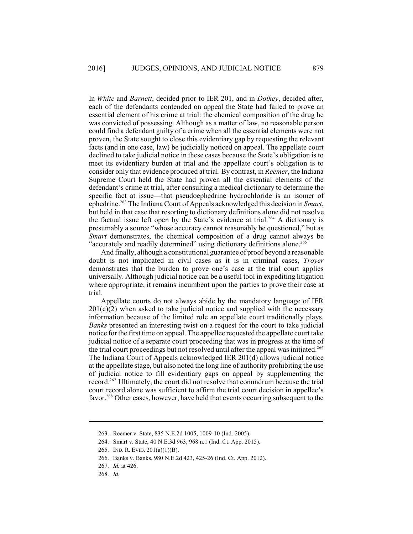In *White* and *Barnett*, decided prior to IER 201, and in *Dolkey*, decided after, each of the defendants contended on appeal the State had failed to prove an essential element of his crime at trial: the chemical composition of the drug he was convicted of possessing. Although as a matter of law, no reasonable person could find a defendant guilty of a crime when all the essential elements were not proven, the State sought to close this evidentiary gap by requesting the relevant facts (and in one case, law) be judicially noticed on appeal. The appellate court declined to take judicial notice in these cases because the State's obligation is to meet its evidentiary burden at trial and the appellate court's obligation is to consider only that evidence produced at trial. By contrast, in *Reemer*, the Indiana Supreme Court held the State had proven all the essential elements of the defendant's crime at trial, after consulting a medical dictionary to determine the specific fact at issue—that pseudoephedrine hydrochloride is an isomer of ephedrine.<sup>263</sup> The Indiana Court of Appeals acknowledged this decision in *Smart*, but held in that case that resorting to dictionary definitions alone did not resolve the factual issue left open by the State's evidence at trial.<sup>264</sup> A dictionary is presumably a source "whose accuracy cannot reasonably be questioned," but as *Smart* demonstrates, the chemical composition of a drug cannot always be "accurately and readily determined" using dictionary definitions alone.<sup>265</sup>

And finally, although a constitutional guarantee of proof beyond a reasonable doubt is not implicated in civil cases as it is in criminal cases, *Troyer* demonstrates that the burden to prove one's case at the trial court applies universally. Although judicial notice can be a useful tool in expediting litigation where appropriate, it remains incumbent upon the parties to prove their case at trial.

Appellate courts do not always abide by the mandatory language of IER  $201(c)(2)$  when asked to take judicial notice and supplied with the necessary information because of the limited role an appellate court traditionally plays. *Banks* presented an interesting twist on a request for the court to take judicial notice for the first time on appeal. The appellee requested the appellate court take judicial notice of a separate court proceeding that was in progress at the time of the trial court proceedings but not resolved until after the appeal was initiated.<sup>266</sup> The Indiana Court of Appeals acknowledged IER 201(d) allows judicial notice at the appellate stage, but also noted the long line of authority prohibiting the use of judicial notice to fill evidentiary gaps on appeal by supplementing the record.<sup>267</sup> Ultimately, the court did not resolve that conundrum because the trial court record alone was sufficient to affirm the trial court decision in appellee's favor.<sup>268</sup> Other cases, however, have held that events occurring subsequent to the

<sup>263.</sup> Reemer v. State, 835 N.E.2d 1005, 1009-10 (Ind. 2005).

<sup>264.</sup> Smart v. State, 40 N.E.3d 963, 968 n.1 (Ind. Ct. App. 2015).

<sup>265.</sup> IND. R. EVID. 201(a)(1)(B).

<sup>266.</sup> Banks v. Banks, 980 N.E.2d 423, 425-26 (Ind. Ct. App. 2012).

<sup>267.</sup> *Id.* at 426.

<sup>268.</sup> *Id.*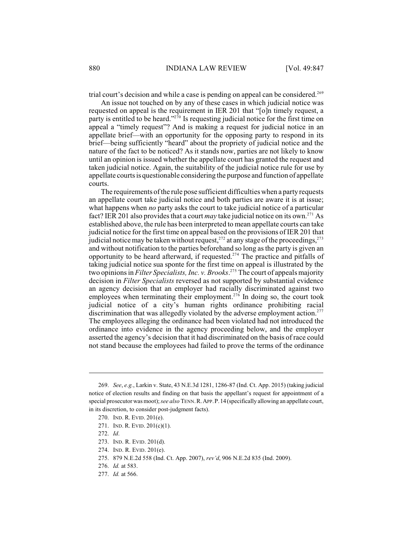trial court's decision and while a case is pending on appeal can be considered.<sup>269</sup>

An issue not touched on by any of these cases in which judicial notice was requested on appeal is the requirement in IER 201 that "[o]n timely request, a party is entitled to be heard."<sup>270</sup> Is requesting judicial notice for the first time on appeal a "timely request"? And is making a request for judicial notice in an appellate brief—with an opportunity for the opposing party to respond in its brief—being sufficiently "heard" about the propriety of judicial notice and the nature of the fact to be noticed? As it stands now, parties are not likely to know until an opinion is issued whether the appellate court has granted the request and taken judicial notice. Again, the suitability of the judicial notice rule for use by appellate courts is questionable considering the purpose and function of appellate courts.

The requirements of the rule pose sufficient difficulties when a party requests an appellate court take judicial notice and both parties are aware it is at issue; what happens when *no* party asks the court to take judicial notice of a particular fact? IER 201 also provides that a court *may* take judicial notice on its own.<sup>271</sup> As established above, the rule has been interpreted to mean appellate courts can take judicial notice for the first time on appeal based on the provisions of IER 201 that judicial notice may be taken without request,<sup>272</sup> at any stage of the proceedings.<sup>273</sup> and without notification to the parties beforehand so long as the party is given an opportunity to be heard afterward, if requested.<sup>274</sup> The practice and pitfalls of taking judicial notice sua sponte for the first time on appeal is illustrated by the two opinions in *Filter Specialists, Inc. v. Brooks*.<sup>275</sup> The court of appeals majority decision in *Filter Specialists* reversed as not supported by substantial evidence an agency decision that an employer had racially discriminated against two employees when terminating their employment.<sup>276</sup> In doing so, the court took judicial notice of a city's human rights ordinance prohibiting racial discrimination that was allegedly violated by the adverse employment action.<sup>277</sup> The employees alleging the ordinance had been violated had not introduced the ordinance into evidence in the agency proceeding below, and the employer asserted the agency's decision that it had discriminated on the basis of race could not stand because the employees had failed to prove the terms of the ordinance

<sup>269.</sup> *See*, *e.g.*, Larkin v. State, 43 N.E.3d 1281, 1286-87 (Ind. Ct. App. 2015) (taking judicial notice of election results and finding on that basis the appellant's request for appointment of a special prosecutor was moot); *see also* TENN.R.APP.P.14(specifically allowing an appellate court, in its discretion, to consider post-judgment facts).

<sup>270.</sup> IND. R. EVID. 201(e).

<sup>271.</sup> IND. R. EVID. 201(c)(1).

<sup>272.</sup> *Id*.

<sup>273.</sup> IND. R. EVID. 201(d).

<sup>274.</sup> IND. R. EVID. 201(e).

<sup>275.</sup> 879 N.E.2d 558 (Ind. Ct. App. 2007), *rev'd*, 906 N.E.2d 835 (Ind. 2009).

<sup>276.</sup> *Id.* at 583.

<sup>277.</sup> *Id.* at 566.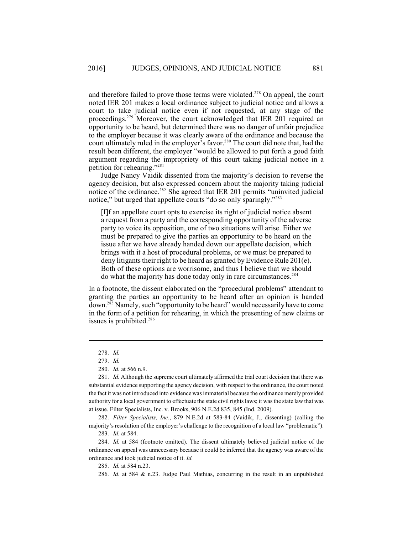and therefore failed to prove those terms were violated.<sup> $278$ </sup> On appeal, the court noted IER 201 makes a local ordinance subject to judicial notice and allows a court to take judicial notice even if not requested, at any stage of the proceedings.<sup>279</sup> Moreover, the court acknowledged that IER 201 required an opportunity to be heard, but determined there was no danger of unfair prejudice to the employer because it was clearly aware of the ordinance and because the court ultimately ruled in the employer's favor.<sup>280</sup> The court did note that, had the result been different, the employer "would be allowed to put forth a good faith argument regarding the impropriety of this court taking judicial notice in a petition for rehearing."<sup>281</sup>

Judge Nancy Vaidik dissented from the majority's decision to reverse the agency decision, but also expressed concern about the majority taking judicial notice of the ordinance.<sup>282</sup> She agreed that IER 201 permits "uninvited judicial notice," but urged that appellate courts "do so only sparingly."<sup>283</sup>

[I]f an appellate court opts to exercise its right of judicial notice absent a request from a party and the corresponding opportunity of the adverse party to voice its opposition, one of two situations will arise. Either we must be prepared to give the parties an opportunity to be heard on the issue after we have already handed down our appellate decision, which brings with it a host of procedural problems, or we must be prepared to deny litigants their right to be heard as granted by Evidence Rule  $201(e)$ . Both of these options are worrisome, and thus I believe that we should do what the majority has done today only in rare circumstances. 284

In a footnote, the dissent elaborated on the "procedural problems" attendant to granting the parties an opportunity to be heard after an opinion is handed down.<sup>285</sup> Namely, such "opportunity to be heard" would necessarily have to come in the form of a petition for rehearing, in which the presenting of new claims or issues is prohibited. 286

282. *Filter Specialists, Inc.*, 879 N.E.2d at 583-84 (Vaidik, J., dissenting) (calling the majority's resolution of the employer's challenge to the recognition of a local law "problematic").

283. *Id.* at 584.

284. *Id.* at 584 (footnote omitted). The dissent ultimately believed judicial notice of the ordinance on appeal was unnecessary because it could be inferred that the agency was aware of the ordinance and took judicial notice of it. *Id.*

285. *Id.* at 584 n.23.

<sup>278.</sup> *Id.*

<sup>279.</sup> *Id.*

<sup>280.</sup> *Id.* at 566 n.9.

<sup>281.</sup> *Id.* Although the supreme court ultimately affirmed the trial court decision that there was substantial evidence supporting the agency decision, with respect to the ordinance, the court noted the fact it was not introduced into evidence was immaterial because the ordinance merely provided authority for a local government to effectuate the state civil rights laws; it was the state law that was at issue. Filter Specialists, Inc. v. Brooks, 906 N.E.2d 835, 845 (Ind. 2009).

<sup>286.</sup> *Id.* at 584 & n.23. Judge Paul Mathias, concurring in the result in an unpublished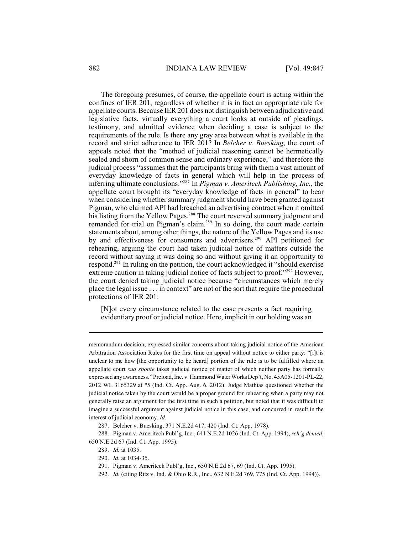The foregoing presumes, of course, the appellate court is acting within the confines of IER 201, regardless of whether it is in fact an appropriate rule for appellate courts. Because IER 201 does not distinguish between adjudicative and legislative facts, virtually everything a court looks at outside of pleadings, testimony, and admitted evidence when deciding a case is subject to the requirements of the rule. Is there any gray area between what is available in the record and strict adherence to IER 201? In *Belcher v. Buesking*, the court of appeals noted that the "method of judicial reasoning cannot be hermetically sealed and shorn of common sense and ordinary experience," and therefore the judicial process "assumes that the participants bring with them a vast amount of everyday knowledge of facts in general which will help in the process of inferring ultimate conclusions."<sup>287</sup> In *Pigman v. Ameritech Publishing, Inc.*, the appellate court brought its "everyday knowledge of facts in general" to bear when considering whether summary judgment should have been granted against Pigman, who claimed API had breached an advertising contract when it omitted his listing from the Yellow Pages.<sup>288</sup> The court reversed summary judgment and remanded for trial on Pigman's claim.<sup>289</sup> In so doing, the court made certain statements about, among other things, the nature of the Yellow Pages and its use by and effectiveness for consumers and advertisers.<sup>290</sup> API petitioned for rehearing, arguing the court had taken judicial notice of matters outside the record without saying it was doing so and without giving it an opportunity to respond.<sup>291</sup> In ruling on the petition, the court acknowledged it "should exercise extreme caution in taking judicial notice of facts subject to proof."<sup>292</sup> However, the court denied taking judicial notice because "circumstances which merely place the legal issue . . . in context" are not of the sort that require the procedural protections of IER 201:

[N]ot every circumstance related to the case presents a fact requiring evidentiary proof or judicial notice. Here, implicit in our holding was an

287. Belcher v. Buesking, 371 N.E.2d 417, 420 (Ind. Ct. App. 1978).

288. Pigman v. Ameritech Publ'g, Inc., 641 N.E.2d 1026 (Ind. Ct. App. 1994), *reh'g denied*, 650 N.E.2d 67 (Ind. Ct. App. 1995).

289. *Id.* at 1035.

290. *Id.* at 1034-35.

291. Pigman v. Ameritech Publ'g, Inc., 650 N.E.2d 67, 69 (Ind. Ct. App. 1995).

292. *Id.* (citing Ritz v. Ind. & Ohio R.R., Inc., 632 N.E.2d 769, 775 (Ind. Ct. App. 1994)).

memorandum decision, expressed similar concerns about taking judicial notice of the American Arbitration Association Rules for the first time on appeal without notice to either party: "[i]t is unclear to me how [the opportunity to be heard] portion of the rule is to be fulfilled where an appellate court *sua sponte* takes judicial notice of matter of which neither party has formally expressed any awareness." Preload, Inc. v. Hammond WaterWorksDep't, No. 45A05-1201-PL-22, 2012 WL 3165329 at \*5 (Ind. Ct. App. Aug. 6, 2012). Judge Mathias questioned whether the judicial notice taken by the court would be a proper ground for rehearing when a party may not generally raise an argument for the first time in such a petition, but noted that it was difficult to imagine a successful argument against judicial notice in this case, and concurred in result in the interest of judicial economy. *Id.*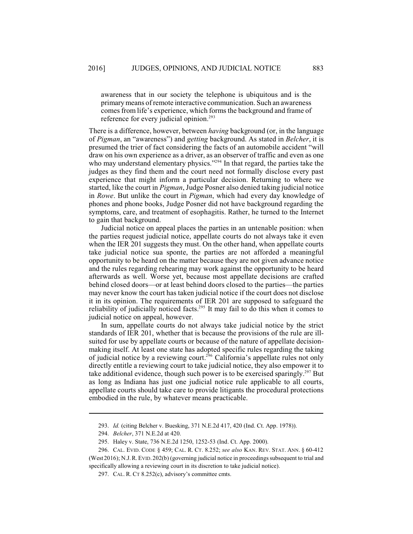awareness that in our society the telephone is ubiquitous and is the primary means of remote interactive communication. Such an awareness comes from life's experience, which forms the background and frame of reference for every judicial opinion.<sup>293</sup>

There is a difference, however, between *having* background (or, in the language of *Pigman*, an "awareness") and *getting* background. As stated in *Belcher*, it is presumed the trier of fact considering the facts of an automobile accident "will draw on his own experience as a driver, as an observer of traffic and even as one who may understand elementary physics."<sup>294</sup> In that regard, the parties take the judges as they find them and the court need not formally disclose every past experience that might inform a particular decision. Returning to where we started, like the court in *Pigman*, Judge Posner also denied taking judicial notice in *Rowe*. But unlike the court in *Pigman*, which had every day knowledge of phones and phone books, Judge Posner did not have background regarding the symptoms, care, and treatment of esophagitis. Rather, he turned to the Internet to gain that background.

Judicial notice on appeal places the parties in an untenable position: when the parties request judicial notice, appellate courts do not always take it even when the IER 201 suggests they must. On the other hand, when appellate courts take judicial notice sua sponte, the parties are not afforded a meaningful opportunity to be heard on the matter because they are not given advance notice and the rules regarding rehearing may work against the opportunity to be heard afterwards as well. Worse yet, because most appellate decisions are crafted behind closed doors—or at least behind doors closed to the parties—the parties may never know the court has taken judicial notice if the court does not disclose it in its opinion. The requirements of IER 201 are supposed to safeguard the reliability of judicially noticed facts. $295$  It may fail to do this when it comes to judicial notice on appeal, however.

In sum, appellate courts do not always take judicial notice by the strict standards of IER 201, whether that is because the provisions of the rule are illsuited for use by appellate courts or because of the nature of appellate decisionmaking itself. At least one state has adopted specific rules regarding the taking of judicial notice by a reviewing court.<sup>296</sup> California's appellate rules not only directly entitle a reviewing court to take judicial notice, they also empower it to take additional evidence, though such power is to be exercised sparingly.<sup>297</sup> But as long as Indiana has just one judicial notice rule applicable to all courts, appellate courts should take care to provide litigants the procedural protections embodied in the rule, by whatever means practicable.

<sup>293.</sup> *Id.* (citing Belcher v. Buesking, 371 N.E.2d 417, 420 (Ind. Ct. App. 1978)).

<sup>294.</sup> *Belcher*, 371 N.E.2d at 420.

<sup>295.</sup> Haley v. State, 736 N.E.2d 1250, 1252-53 (Ind. Ct. App. 2000).

<sup>296.</sup> CAL. EVID. CODE § 459; CAL. R. CT. 8.252; *see also* KAN. REV. STAT. ANN. § 60-412 (West 2016); N.J.R.EVID.202(b) (governing judicial notice in proceedings subsequent to trial and specifically allowing a reviewing court in its discretion to take judicial notice).

<sup>297.</sup> CAL. R. CT 8.252(c), advisory's committee cmts.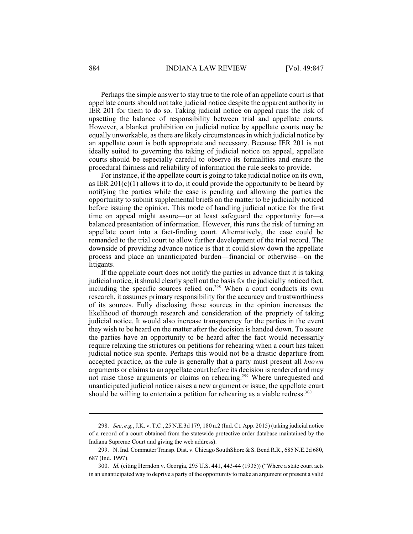Perhaps the simple answer to stay true to the role of an appellate court is that appellate courts should not take judicial notice despite the apparent authority in IER 201 for them to do so. Taking judicial notice on appeal runs the risk of upsetting the balance of responsibility between trial and appellate courts. However, a blanket prohibition on judicial notice by appellate courts may be equally unworkable, as there are likely circumstances in which judicial notice by an appellate court is both appropriate and necessary. Because IER 201 is not ideally suited to governing the taking of judicial notice on appeal, appellate courts should be especially careful to observe its formalities and ensure the procedural fairness and reliability of information the rule seeks to provide.

For instance, if the appellate court is going to take judicial notice on its own, as IER  $201(c)(1)$  allows it to do, it could provide the opportunity to be heard by notifying the parties while the case is pending and allowing the parties the opportunity to submit supplemental briefs on the matter to be judicially noticed before issuing the opinion. This mode of handling judicial notice for the first time on appeal might assure—or at least safeguard the opportunity for—a balanced presentation of information. However, this runs the risk of turning an appellate court into a fact-finding court. Alternatively, the case could be remanded to the trial court to allow further development of the trial record. The downside of providing advance notice is that it could slow down the appellate process and place an unanticipated burden—financial or otherwise—on the litigants.

If the appellate court does not notify the parties in advance that it is taking judicial notice, it should clearly spell out the basis for the judicially noticed fact, including the specific sources relied on. $298$  When a court conducts its own research, it assumes primary responsibility for the accuracy and trustworthiness of its sources. Fully disclosing those sources in the opinion increases the likelihood of thorough research and consideration of the propriety of taking judicial notice. It would also increase transparency for the parties in the event they wish to be heard on the matter after the decision is handed down. To assure the parties have an opportunity to be heard after the fact would necessarily require relaxing the strictures on petitions for rehearing when a court has taken judicial notice sua sponte. Perhaps this would not be a drastic departure from accepted practice, as the rule is generally that a party must present all *known* arguments or claims to an appellate court before its decision is rendered and may not raise those arguments or claims on rehearing.<sup>299</sup> Where unrequested and unanticipated judicial notice raises a new argument or issue, the appellate court should be willing to entertain a petition for rehearing as a viable redress.<sup>300</sup>

<sup>298.</sup> *See*, *e.g.*, J.K. v. T.C., 25 N.E.3d 179, 180 n.2 (Ind. Ct. App. 2015) (taking judicial notice of a record of a court obtained from the statewide protective order database maintained by the Indiana Supreme Court and giving the web address).

<sup>299.</sup> N. Ind. Commuter Transp. Dist. v. Chicago SouthShore & S. Bend R.R., 685 N.E.2d 680, 687 (Ind. 1997).

<sup>300.</sup> *Id.* (citing Herndon v. Georgia*,* 295 U.S. 441, 443-44 (1935)) ("Where a state court acts in an unanticipated way to deprive a party of the opportunity to make an argument or present a valid